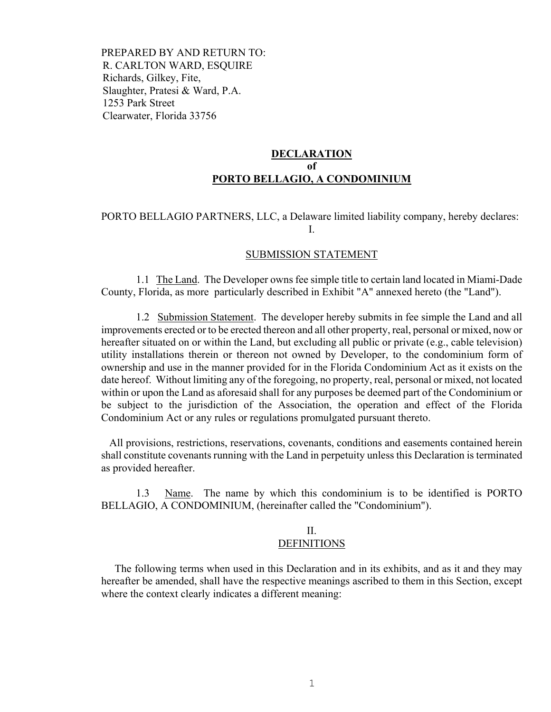PREPARED BY AND RETURN TO: R. CARLTON WARD, ESQUIRE Richards, Gilkey, Fite, Slaughter, Pratesi & Ward, P.A. 1253 Park Street Clearwater, Florida 33756

# **DECLARATION of PORTO BELLAGIO, A CONDOMINIUM**

# PORTO BELLAGIO PARTNERS, LLC, a Delaware limited liability company, hereby declares: I.

#### SUBMISSION STATEMENT

 1.1 The Land. The Developer owns fee simple title to certain land located in Miami-Dade County, Florida, as more particularly described in Exhibit "A" annexed hereto (the "Land").

 1.2 Submission Statement. The developer hereby submits in fee simple the Land and all improvements erected or to be erected thereon and all other property, real, personal or mixed, now or hereafter situated on or within the Land, but excluding all public or private (e.g., cable television) utility installations therein or thereon not owned by Developer, to the condominium form of ownership and use in the manner provided for in the Florida Condominium Act as it exists on the date hereof. Without limiting any of the foregoing, no property, real, personal or mixed, not located within or upon the Land as aforesaid shall for any purposes be deemed part of the Condominium or be subject to the jurisdiction of the Association, the operation and effect of the Florida Condominium Act or any rules or regulations promulgated pursuant thereto.

 All provisions, restrictions, reservations, covenants, conditions and easements contained herein shall constitute covenants running with the Land in perpetuity unless this Declaration is terminated as provided hereafter.

 1.3 Name. The name by which this condominium is to be identified is PORTO BELLAGIO, A CONDOMINIUM, (hereinafter called the "Condominium").

## II. DEFINITIONS

 The following terms when used in this Declaration and in its exhibits, and as it and they may hereafter be amended, shall have the respective meanings ascribed to them in this Section, except where the context clearly indicates a different meaning: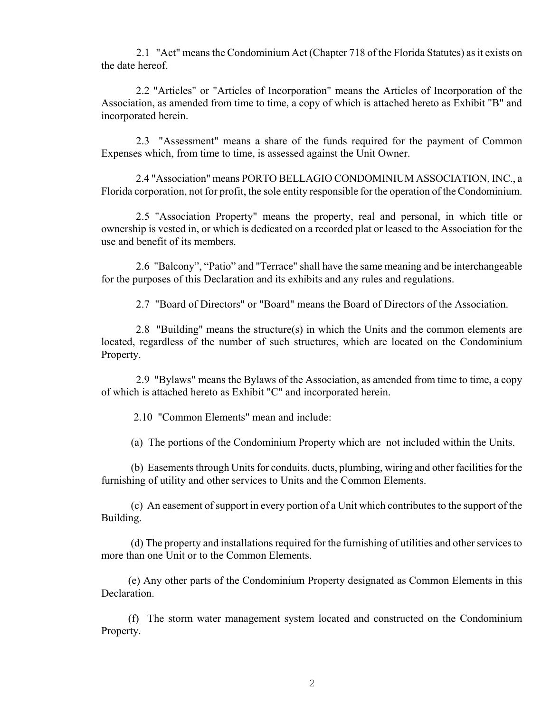2.1 "Act" means the Condominium Act (Chapter 718 of the Florida Statutes) as it exists on the date hereof.

 2.2 "Articles" or "Articles of Incorporation" means the Articles of Incorporation of the Association, as amended from time to time, a copy of which is attached hereto as Exhibit "B" and incorporated herein.

 2.3 "Assessment" means a share of the funds required for the payment of Common Expenses which, from time to time, is assessed against the Unit Owner.

 2.4 "Association" means PORTO BELLAGIO CONDOMINIUM ASSOCIATION, INC., a Florida corporation, not for profit, the sole entity responsible for the operation of the Condominium.

 2.5 "Association Property" means the property, real and personal, in which title or ownership is vested in, or which is dedicated on a recorded plat or leased to the Association for the use and benefit of its members.

 2.6 "Balcony", "Patio" and "Terrace" shall have the same meaning and be interchangeable for the purposes of this Declaration and its exhibits and any rules and regulations.

2.7 "Board of Directors" or "Board" means the Board of Directors of the Association.

 2.8 "Building" means the structure(s) in which the Units and the common elements are located, regardless of the number of such structures, which are located on the Condominium Property.

 2.9 "Bylaws" means the Bylaws of the Association, as amended from time to time, a copy of which is attached hereto as Exhibit "C" and incorporated herein.

2.10 "Common Elements" mean and include:

(a) The portions of the Condominium Property which are not included within the Units.

 (b) Easements through Units for conduits, ducts, plumbing, wiring and other facilities for the furnishing of utility and other services to Units and the Common Elements.

 (c) An easement of support in every portion of a Unit which contributes to the support of the Building.

 (d) The property and installations required for the furnishing of utilities and other services to more than one Unit or to the Common Elements.

 (e) Any other parts of the Condominium Property designated as Common Elements in this Declaration.

 (f) The storm water management system located and constructed on the Condominium Property.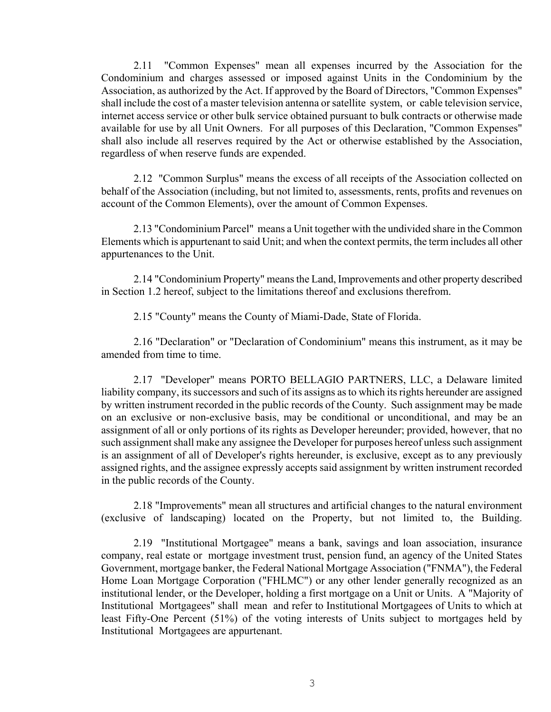2.11 "Common Expenses" mean all expenses incurred by the Association for the Condominium and charges assessed or imposed against Units in the Condominium by the Association, as authorized by the Act. If approved by the Board of Directors, "Common Expenses" shall include the cost of a master television antenna or satellite system, or cable television service, internet access service or other bulk service obtained pursuant to bulk contracts or otherwise made available for use by all Unit Owners. For all purposes of this Declaration, "Common Expenses" shall also include all reserves required by the Act or otherwise established by the Association, regardless of when reserve funds are expended.

 2.12 "Common Surplus" means the excess of all receipts of the Association collected on behalf of the Association (including, but not limited to, assessments, rents, profits and revenues on account of the Common Elements), over the amount of Common Expenses.

 2.13 "Condominium Parcel" means a Unit together with the undivided share in the Common Elements which is appurtenant to said Unit; and when the context permits, the term includes all other appurtenances to the Unit.

 2.14 "Condominium Property" means the Land, Improvements and other property described in Section 1.2 hereof, subject to the limitations thereof and exclusions therefrom.

2.15 "County" means the County of Miami-Dade, State of Florida.

 2.16 "Declaration" or "Declaration of Condominium" means this instrument, as it may be amended from time to time.

 2.17 "Developer" means PORTO BELLAGIO PARTNERS, LLC, a Delaware limited liability company, its successors and such of its assigns as to which its rights hereunder are assigned by written instrument recorded in the public records of the County. Such assignment may be made on an exclusive or non-exclusive basis, may be conditional or unconditional, and may be an assignment of all or only portions of its rights as Developer hereunder; provided, however, that no such assignment shall make any assignee the Developer for purposes hereof unless such assignment is an assignment of all of Developer's rights hereunder, is exclusive, except as to any previously assigned rights, and the assignee expressly accepts said assignment by written instrument recorded in the public records of the County.

 2.18 "Improvements" mean all structures and artificial changes to the natural environment (exclusive of landscaping) located on the Property, but not limited to, the Building.

 2.19 "Institutional Mortgagee" means a bank, savings and loan association, insurance company, real estate or mortgage investment trust, pension fund, an agency of the United States Government, mortgage banker, the Federal National Mortgage Association ("FNMA"), the Federal Home Loan Mortgage Corporation ("FHLMC") or any other lender generally recognized as an institutional lender, or the Developer, holding a first mortgage on a Unit or Units. A "Majority of Institutional Mortgagees" shall mean and refer to Institutional Mortgagees of Units to which at least Fifty-One Percent (51%) of the voting interests of Units subject to mortgages held by Institutional Mortgagees are appurtenant.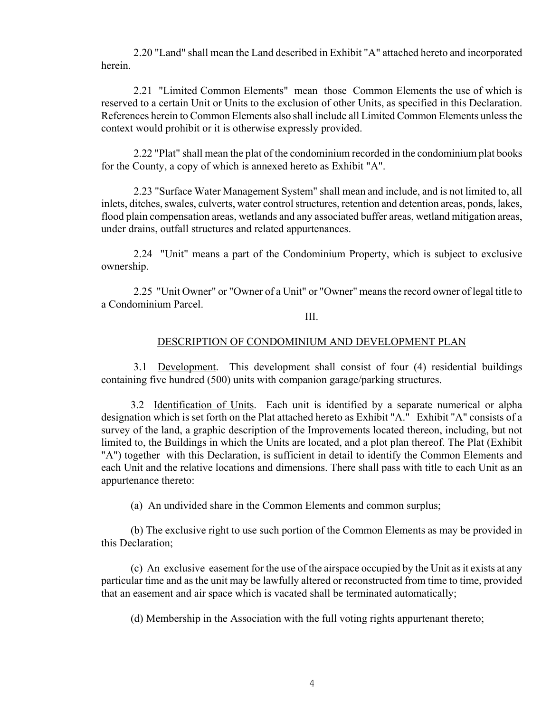2.20 "Land" shall mean the Land described in Exhibit "A" attached hereto and incorporated herein.

 2.21 "Limited Common Elements" mean those Common Elements the use of which is reserved to a certain Unit or Units to the exclusion of other Units, as specified in this Declaration. References herein to Common Elements also shall include all Limited Common Elements unless the context would prohibit or it is otherwise expressly provided.

 2.22 "Plat" shall mean the plat of the condominium recorded in the condominium plat books for the County, a copy of which is annexed hereto as Exhibit "A".

 2.23 "Surface Water Management System" shall mean and include, and is not limited to, all inlets, ditches, swales, culverts, water control structures, retention and detention areas, ponds, lakes, flood plain compensation areas, wetlands and any associated buffer areas, wetland mitigation areas, under drains, outfall structures and related appurtenances.

 2.24 "Unit" means a part of the Condominium Property, which is subject to exclusive ownership.

 2.25 "Unit Owner" or "Owner of a Unit" or "Owner" means the record owner of legal title to a Condominium Parcel.

# III.

# DESCRIPTION OF CONDOMINIUM AND DEVELOPMENT PLAN

 3.1 Development. This development shall consist of four (4) residential buildings containing five hundred (500) units with companion garage/parking structures.

3.2 Identification of Units. Each unit is identified by a separate numerical or alpha designation which is set forth on the Plat attached hereto as Exhibit "A." Exhibit "A" consists of a survey of the land, a graphic description of the Improvements located thereon, including, but not limited to, the Buildings in which the Units are located, and a plot plan thereof. The Plat (Exhibit "A") together with this Declaration, is sufficient in detail to identify the Common Elements and each Unit and the relative locations and dimensions. There shall pass with title to each Unit as an appurtenance thereto:

(a) An undivided share in the Common Elements and common surplus;

 (b) The exclusive right to use such portion of the Common Elements as may be provided in this Declaration;

 (c) An exclusive easement for the use of the airspace occupied by the Unit as it exists at any particular time and as the unit may be lawfully altered or reconstructed from time to time, provided that an easement and air space which is vacated shall be terminated automatically;

(d) Membership in the Association with the full voting rights appurtenant thereto;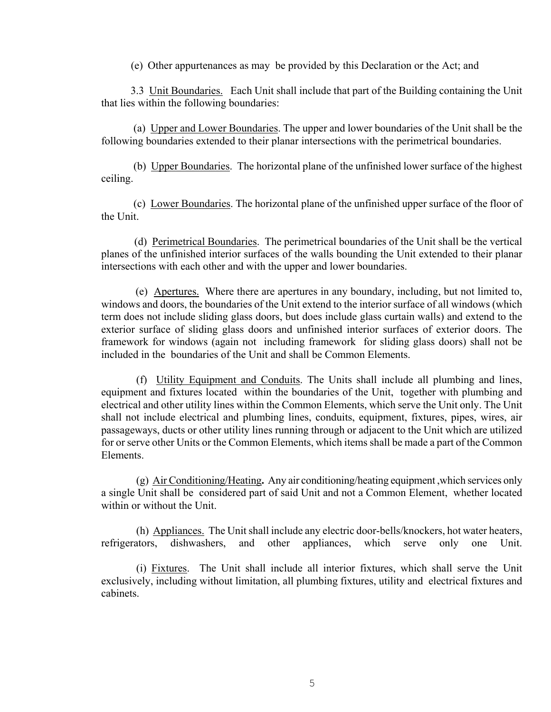(e) Other appurtenances as may be provided by this Declaration or the Act; and

 3.3 Unit Boundaries. Each Unit shall include that part of the Building containing the Unit that lies within the following boundaries:

 (a) Upper and Lower Boundaries. The upper and lower boundaries of the Unit shall be the following boundaries extended to their planar intersections with the perimetrical boundaries.

 (b) Upper Boundaries. The horizontal plane of the unfinished lower surface of the highest ceiling.

 (c) Lower Boundaries. The horizontal plane of the unfinished upper surface of the floor of the Unit.

 (d) Perimetrical Boundaries. The perimetrical boundaries of the Unit shall be the vertical planes of the unfinished interior surfaces of the walls bounding the Unit extended to their planar intersections with each other and with the upper and lower boundaries.

 (e) Apertures. Where there are apertures in any boundary, including, but not limited to, windows and doors, the boundaries of the Unit extend to the interior surface of all windows (which term does not include sliding glass doors, but does include glass curtain walls) and extend to the exterior surface of sliding glass doors and unfinished interior surfaces of exterior doors. The framework for windows (again not including framework for sliding glass doors) shall not be included in the boundaries of the Unit and shall be Common Elements.

 (f) Utility Equipment and Conduits. The Units shall include all plumbing and lines, equipment and fixtures located within the boundaries of the Unit, together with plumbing and electrical and other utility lines within the Common Elements, which serve the Unit only. The Unit shall not include electrical and plumbing lines, conduits, equipment, fixtures, pipes, wires, air passageways, ducts or other utility lines running through or adjacent to the Unit which are utilized for or serve other Units or the Common Elements, which items shall be made a part of the Common Elements.

 (g) Air Conditioning/Heating**.** Any air conditioning/heating equipment ,which services only a single Unit shall be considered part of said Unit and not a Common Element, whether located within or without the Unit.

 (h) Appliances. The Unit shall include any electric door-bells/knockers, hot water heaters, refrigerators, dishwashers, and other appliances, which serve only one Unit.

 (i) Fixtures. The Unit shall include all interior fixtures, which shall serve the Unit exclusively, including without limitation, all plumbing fixtures, utility and electrical fixtures and cabinets.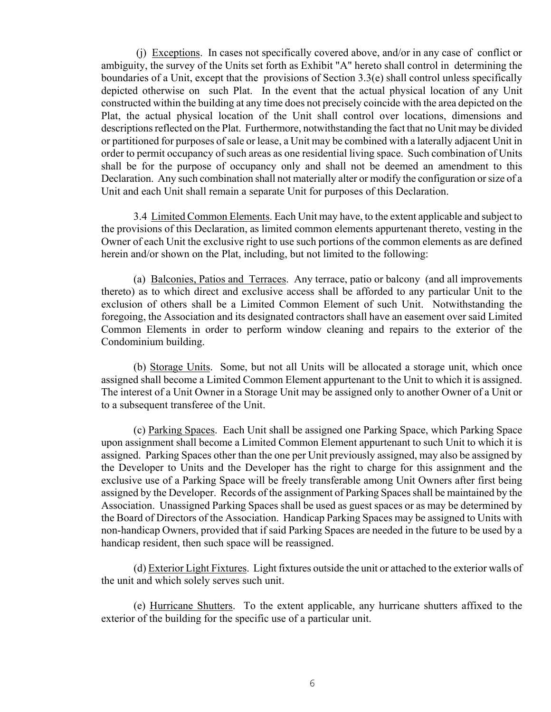(j) Exceptions. In cases not specifically covered above, and/or in any case of conflict or ambiguity, the survey of the Units set forth as Exhibit "A" hereto shall control in determining the boundaries of a Unit, except that the provisions of Section 3.3(e) shall control unless specifically depicted otherwise on such Plat. In the event that the actual physical location of any Unit constructed within the building at any time does not precisely coincide with the area depicted on the Plat, the actual physical location of the Unit shall control over locations, dimensions and descriptions reflected on the Plat. Furthermore, notwithstanding the fact that no Unit may be divided or partitioned for purposes of sale or lease, a Unit may be combined with a laterally adjacent Unit in order to permit occupancy of such areas as one residential living space. Such combination of Units shall be for the purpose of occupancy only and shall not be deemed an amendment to this Declaration. Any such combination shall not materially alter or modify the configuration or size of a Unit and each Unit shall remain a separate Unit for purposes of this Declaration.

 3.4 Limited Common Elements. Each Unit may have, to the extent applicable and subject to the provisions of this Declaration, as limited common elements appurtenant thereto, vesting in the Owner of each Unit the exclusive right to use such portions of the common elements as are defined herein and/or shown on the Plat, including, but not limited to the following:

 (a) Balconies, Patios and Terraces. Any terrace, patio or balcony (and all improvements thereto) as to which direct and exclusive access shall be afforded to any particular Unit to the exclusion of others shall be a Limited Common Element of such Unit. Notwithstanding the foregoing, the Association and its designated contractors shall have an easement over said Limited Common Elements in order to perform window cleaning and repairs to the exterior of the Condominium building.

 (b) Storage Units. Some, but not all Units will be allocated a storage unit, which once assigned shall become a Limited Common Element appurtenant to the Unit to which it is assigned. The interest of a Unit Owner in a Storage Unit may be assigned only to another Owner of a Unit or to a subsequent transferee of the Unit.

 (c) Parking Spaces. Each Unit shall be assigned one Parking Space, which Parking Space upon assignment shall become a Limited Common Element appurtenant to such Unit to which it is assigned. Parking Spaces other than the one per Unit previously assigned, may also be assigned by the Developer to Units and the Developer has the right to charge for this assignment and the exclusive use of a Parking Space will be freely transferable among Unit Owners after first being assigned by the Developer. Records of the assignment of Parking Spaces shall be maintained by the Association. Unassigned Parking Spaces shall be used as guest spaces or as may be determined by the Board of Directors of the Association. Handicap Parking Spaces may be assigned to Units with non-handicap Owners, provided that if said Parking Spaces are needed in the future to be used by a handicap resident, then such space will be reassigned.

 (d) Exterior Light Fixtures. Light fixtures outside the unit or attached to the exterior walls of the unit and which solely serves such unit.

 (e) Hurricane Shutters. To the extent applicable, any hurricane shutters affixed to the exterior of the building for the specific use of a particular unit.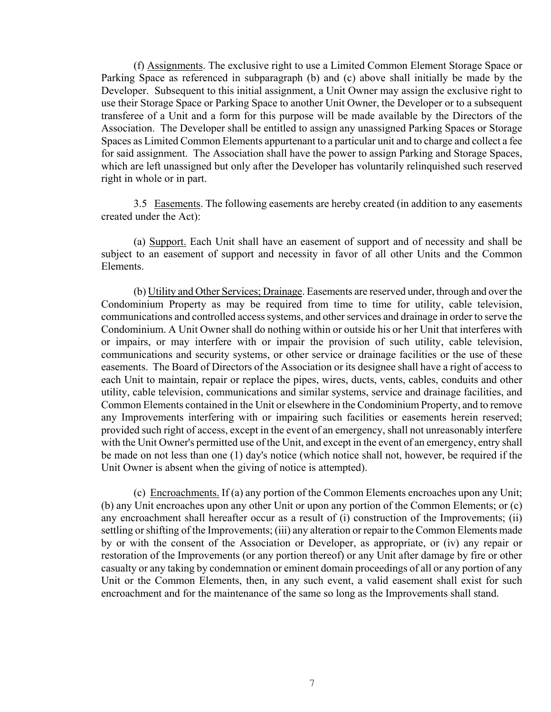(f) Assignments. The exclusive right to use a Limited Common Element Storage Space or Parking Space as referenced in subparagraph (b) and (c) above shall initially be made by the Developer. Subsequent to this initial assignment, a Unit Owner may assign the exclusive right to use their Storage Space or Parking Space to another Unit Owner, the Developer or to a subsequent transferee of a Unit and a form for this purpose will be made available by the Directors of the Association. The Developer shall be entitled to assign any unassigned Parking Spaces or Storage Spaces as Limited Common Elements appurtenant to a particular unit and to charge and collect a fee for said assignment. The Association shall have the power to assign Parking and Storage Spaces, which are left unassigned but only after the Developer has voluntarily relinquished such reserved right in whole or in part.

 3.5 Easements. The following easements are hereby created (in addition to any easements created under the Act):

 (a) Support. Each Unit shall have an easement of support and of necessity and shall be subject to an easement of support and necessity in favor of all other Units and the Common Elements.

 (b) Utility and Other Services; Drainage. Easements are reserved under, through and over the Condominium Property as may be required from time to time for utility, cable television, communications and controlled access systems, and other services and drainage in order to serve the Condominium. A Unit Owner shall do nothing within or outside his or her Unit that interferes with or impairs, or may interfere with or impair the provision of such utility, cable television, communications and security systems, or other service or drainage facilities or the use of these easements. The Board of Directors of the Association or its designee shall have a right of access to each Unit to maintain, repair or replace the pipes, wires, ducts, vents, cables, conduits and other utility, cable television, communications and similar systems, service and drainage facilities, and Common Elements contained in the Unit or elsewhere in the Condominium Property, and to remove any Improvements interfering with or impairing such facilities or easements herein reserved; provided such right of access, except in the event of an emergency, shall not unreasonably interfere with the Unit Owner's permitted use of the Unit, and except in the event of an emergency, entry shall be made on not less than one (1) day's notice (which notice shall not, however, be required if the Unit Owner is absent when the giving of notice is attempted).

 (c) Encroachments. If (a) any portion of the Common Elements encroaches upon any Unit; (b) any Unit encroaches upon any other Unit or upon any portion of the Common Elements; or (c) any encroachment shall hereafter occur as a result of (i) construction of the Improvements; (ii) settling or shifting of the Improvements; (iii) any alteration or repair to the Common Elements made by or with the consent of the Association or Developer, as appropriate, or (iv) any repair or restoration of the Improvements (or any portion thereof) or any Unit after damage by fire or other casualty or any taking by condemnation or eminent domain proceedings of all or any portion of any Unit or the Common Elements, then, in any such event, a valid easement shall exist for such encroachment and for the maintenance of the same so long as the Improvements shall stand.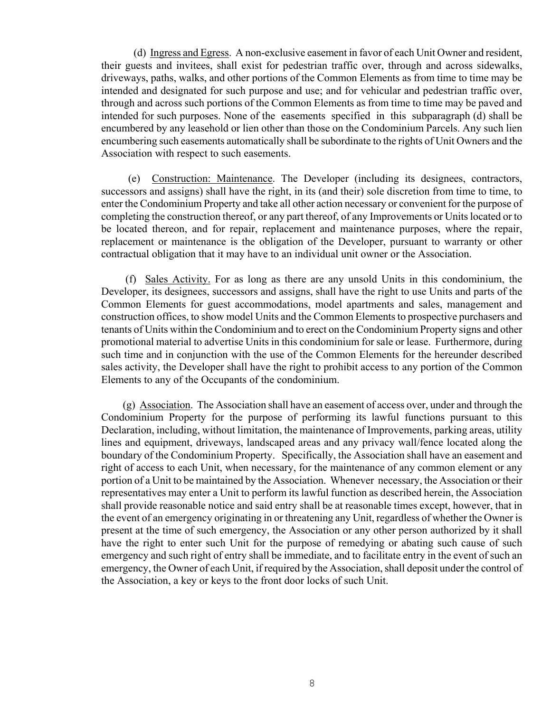(d) Ingress and Egress. A non-exclusive easement in favor of each Unit Owner and resident, their guests and invitees, shall exist for pedestrian traffic over, through and across sidewalks, driveways, paths, walks, and other portions of the Common Elements as from time to time may be intended and designated for such purpose and use; and for vehicular and pedestrian traffic over, through and across such portions of the Common Elements as from time to time may be paved and intended for such purposes. None of the easements specified in this subparagraph (d) shall be encumbered by any leasehold or lien other than those on the Condominium Parcels. Any such lien encumbering such easements automatically shall be subordinate to the rights of Unit Owners and the Association with respect to such easements.

 (e) Construction: Maintenance. The Developer (including its designees, contractors, successors and assigns) shall have the right, in its (and their) sole discretion from time to time, to enter the Condominium Property and take all other action necessary or convenient for the purpose of completing the construction thereof, or any part thereof, of any Improvements or Units located or to be located thereon, and for repair, replacement and maintenance purposes, where the repair, replacement or maintenance is the obligation of the Developer, pursuant to warranty or other contractual obligation that it may have to an individual unit owner or the Association.

 (f) Sales Activity. For as long as there are any unsold Units in this condominium, the Developer, its designees, successors and assigns, shall have the right to use Units and parts of the Common Elements for guest accommodations, model apartments and sales, management and construction offices, to show model Units and the Common Elements to prospective purchasers and tenants of Units within the Condominium and to erect on the Condominium Property signs and other promotional material to advertise Units in this condominium for sale or lease. Furthermore, during such time and in conjunction with the use of the Common Elements for the hereunder described sales activity, the Developer shall have the right to prohibit access to any portion of the Common Elements to any of the Occupants of the condominium.

 (g) Association. The Association shall have an easement of access over, under and through the Condominium Property for the purpose of performing its lawful functions pursuant to this Declaration, including, without limitation, the maintenance of Improvements, parking areas, utility lines and equipment, driveways, landscaped areas and any privacy wall/fence located along the boundary of the Condominium Property. Specifically, the Association shall have an easement and right of access to each Unit, when necessary, for the maintenance of any common element or any portion of a Unit to be maintained by the Association. Whenever necessary, the Association or their representatives may enter a Unit to perform its lawful function as described herein, the Association shall provide reasonable notice and said entry shall be at reasonable times except, however, that in the event of an emergency originating in or threatening any Unit, regardless of whether the Owner is present at the time of such emergency, the Association or any other person authorized by it shall have the right to enter such Unit for the purpose of remedying or abating such cause of such emergency and such right of entry shall be immediate, and to facilitate entry in the event of such an emergency, the Owner of each Unit, if required by the Association, shall deposit under the control of the Association, a key or keys to the front door locks of such Unit.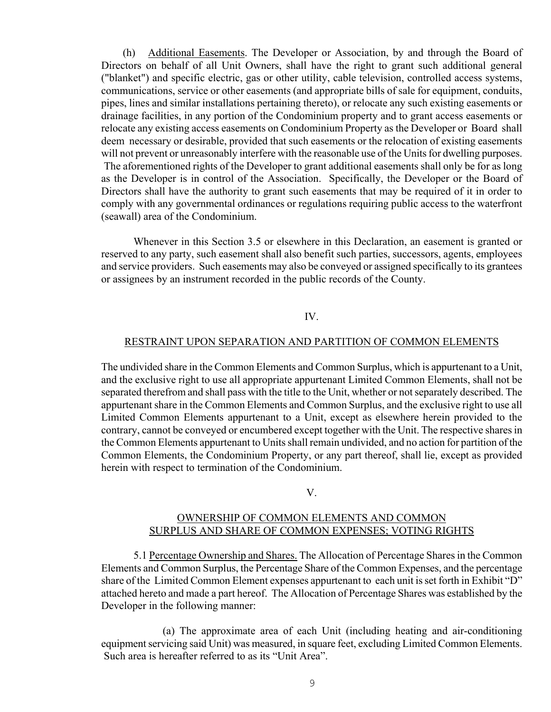(h) Additional Easements. The Developer or Association, by and through the Board of Directors on behalf of all Unit Owners, shall have the right to grant such additional general ("blanket") and specific electric, gas or other utility, cable television, controlled access systems, communications, service or other easements (and appropriate bills of sale for equipment, conduits, pipes, lines and similar installations pertaining thereto), or relocate any such existing easements or drainage facilities, in any portion of the Condominium property and to grant access easements or relocate any existing access easements on Condominium Property as the Developer or Board shall deem necessary or desirable, provided that such easements or the relocation of existing easements will not prevent or unreasonably interfere with the reasonable use of the Units for dwelling purposes. The aforementioned rights of the Developer to grant additional easements shall only be for as long as the Developer is in control of the Association. Specifically, the Developer or the Board of Directors shall have the authority to grant such easements that may be required of it in order to comply with any governmental ordinances or regulations requiring public access to the waterfront (seawall) area of the Condominium.

 Whenever in this Section 3.5 or elsewhere in this Declaration, an easement is granted or reserved to any party, such easement shall also benefit such parties, successors, agents, employees and service providers. Such easements may also be conveyed or assigned specifically to its grantees or assignees by an instrument recorded in the public records of the County.

# IV.

#### RESTRAINT UPON SEPARATION AND PARTITION OF COMMON ELEMENTS

The undivided share in the Common Elements and Common Surplus, which is appurtenant to a Unit, and the exclusive right to use all appropriate appurtenant Limited Common Elements, shall not be separated therefrom and shall pass with the title to the Unit, whether or not separately described. The appurtenant share in the Common Elements and Common Surplus, and the exclusive right to use all Limited Common Elements appurtenant to a Unit, except as elsewhere herein provided to the contrary, cannot be conveyed or encumbered except together with the Unit. The respective shares in the Common Elements appurtenant to Units shall remain undivided, and no action for partition of the Common Elements, the Condominium Property, or any part thereof, shall lie, except as provided herein with respect to termination of the Condominium.

#### V.

# OWNERSHIP OF COMMON ELEMENTS AND COMMON SURPLUS AND SHARE OF COMMON EXPENSES; VOTING RIGHTS

 5.1 Percentage Ownership and Shares. The Allocation of Percentage Shares in the Common Elements and Common Surplus, the Percentage Share of the Common Expenses, and the percentage share of the Limited Common Element expenses appurtenant to each unit is set forth in Exhibit "D" attached hereto and made a part hereof. The Allocation of Percentage Shares was established by the Developer in the following manner:

(a) The approximate area of each Unit (including heating and air-conditioning equipment servicing said Unit) was measured, in square feet, excluding Limited Common Elements. Such area is hereafter referred to as its "Unit Area".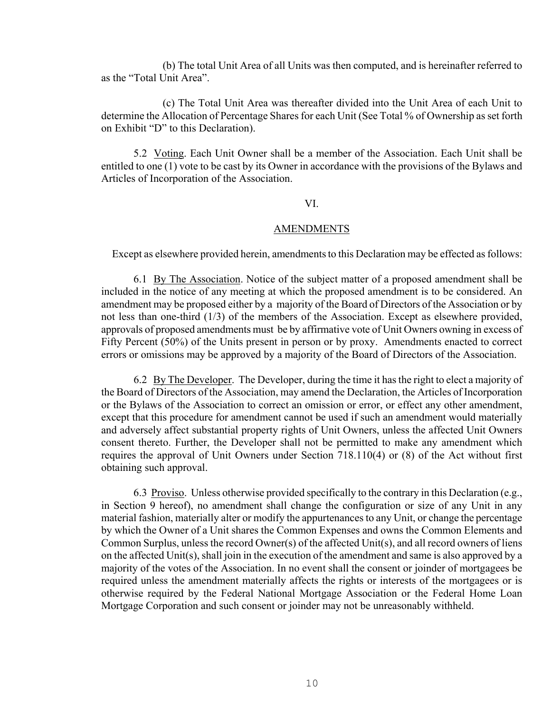(b) The total Unit Area of all Units was then computed, and is hereinafter referred to as the "Total Unit Area".

(c) The Total Unit Area was thereafter divided into the Unit Area of each Unit to determine the Allocation of Percentage Shares for each Unit (See Total % of Ownership as set forth on Exhibit "D" to this Declaration).

 5.2 Voting. Each Unit Owner shall be a member of the Association. Each Unit shall be entitled to one (1) vote to be cast by its Owner in accordance with the provisions of the Bylaws and Articles of Incorporation of the Association.

## VI.

# AMENDMENTS

Except as elsewhere provided herein, amendments to this Declaration may be effected as follows:

 6.1 By The Association. Notice of the subject matter of a proposed amendment shall be included in the notice of any meeting at which the proposed amendment is to be considered. An amendment may be proposed either by a majority of the Board of Directors of the Association or by not less than one-third (1/3) of the members of the Association. Except as elsewhere provided, approvals of proposed amendments must be by affirmative vote of Unit Owners owning in excess of Fifty Percent (50%) of the Units present in person or by proxy. Amendments enacted to correct errors or omissions may be approved by a majority of the Board of Directors of the Association.

 6.2 By The Developer. The Developer, during the time it has the right to elect a majority of the Board of Directors of the Association, may amend the Declaration, the Articles of Incorporation or the Bylaws of the Association to correct an omission or error, or effect any other amendment, except that this procedure for amendment cannot be used if such an amendment would materially and adversely affect substantial property rights of Unit Owners, unless the affected Unit Owners consent thereto. Further, the Developer shall not be permitted to make any amendment which requires the approval of Unit Owners under Section 718.110(4) or (8) of the Act without first obtaining such approval.

 6.3 Proviso. Unless otherwise provided specifically to the contrary in this Declaration (e.g., in Section 9 hereof), no amendment shall change the configuration or size of any Unit in any material fashion, materially alter or modify the appurtenances to any Unit, or change the percentage by which the Owner of a Unit shares the Common Expenses and owns the Common Elements and Common Surplus, unless the record Owner(s) of the affected Unit(s), and all record owners of liens on the affected Unit(s), shall join in the execution of the amendment and same is also approved by a majority of the votes of the Association. In no event shall the consent or joinder of mortgagees be required unless the amendment materially affects the rights or interests of the mortgagees or is otherwise required by the Federal National Mortgage Association or the Federal Home Loan Mortgage Corporation and such consent or joinder may not be unreasonably withheld.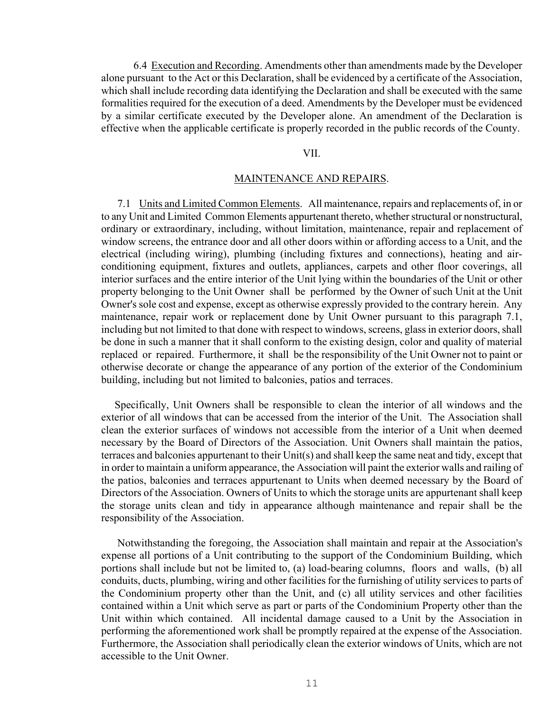6.4 Execution and Recording. Amendments other than amendments made by the Developer alone pursuant to the Act or this Declaration, shall be evidenced by a certificate of the Association, which shall include recording data identifying the Declaration and shall be executed with the same formalities required for the execution of a deed. Amendments by the Developer must be evidenced by a similar certificate executed by the Developer alone. An amendment of the Declaration is effective when the applicable certificate is properly recorded in the public records of the County.

## VII.

#### MAINTENANCE AND REPAIRS.

 7.1 Units and Limited Common Elements. All maintenance, repairs and replacements of, in or to any Unit and Limited Common Elements appurtenant thereto, whether structural or nonstructural, ordinary or extraordinary, including, without limitation, maintenance, repair and replacement of window screens, the entrance door and all other doors within or affording access to a Unit, and the electrical (including wiring), plumbing (including fixtures and connections), heating and airconditioning equipment, fixtures and outlets, appliances, carpets and other floor coverings, all interior surfaces and the entire interior of the Unit lying within the boundaries of the Unit or other property belonging to the Unit Owner shall be performed by the Owner of such Unit at the Unit Owner's sole cost and expense, except as otherwise expressly provided to the contrary herein. Any maintenance, repair work or replacement done by Unit Owner pursuant to this paragraph 7.1, including but not limited to that done with respect to windows, screens, glass in exterior doors, shall be done in such a manner that it shall conform to the existing design, color and quality of material replaced or repaired. Furthermore, it shall be the responsibility of the Unit Owner not to paint or otherwise decorate or change the appearance of any portion of the exterior of the Condominium building, including but not limited to balconies, patios and terraces.

 Specifically, Unit Owners shall be responsible to clean the interior of all windows and the exterior of all windows that can be accessed from the interior of the Unit. The Association shall clean the exterior surfaces of windows not accessible from the interior of a Unit when deemed necessary by the Board of Directors of the Association. Unit Owners shall maintain the patios, terraces and balconies appurtenant to their Unit(s) and shall keep the same neat and tidy, except that in order to maintain a uniform appearance, the Association will paint the exterior walls and railing of the patios, balconies and terraces appurtenant to Units when deemed necessary by the Board of Directors of the Association. Owners of Units to which the storage units are appurtenant shall keep the storage units clean and tidy in appearance although maintenance and repair shall be the responsibility of the Association.

 Notwithstanding the foregoing, the Association shall maintain and repair at the Association's expense all portions of a Unit contributing to the support of the Condominium Building, which portions shall include but not be limited to, (a) load-bearing columns, floors and walls, (b) all conduits, ducts, plumbing, wiring and other facilities for the furnishing of utility services to parts of the Condominium property other than the Unit, and (c) all utility services and other facilities contained within a Unit which serve as part or parts of the Condominium Property other than the Unit within which contained. All incidental damage caused to a Unit by the Association in performing the aforementioned work shall be promptly repaired at the expense of the Association. Furthermore, the Association shall periodically clean the exterior windows of Units, which are not accessible to the Unit Owner.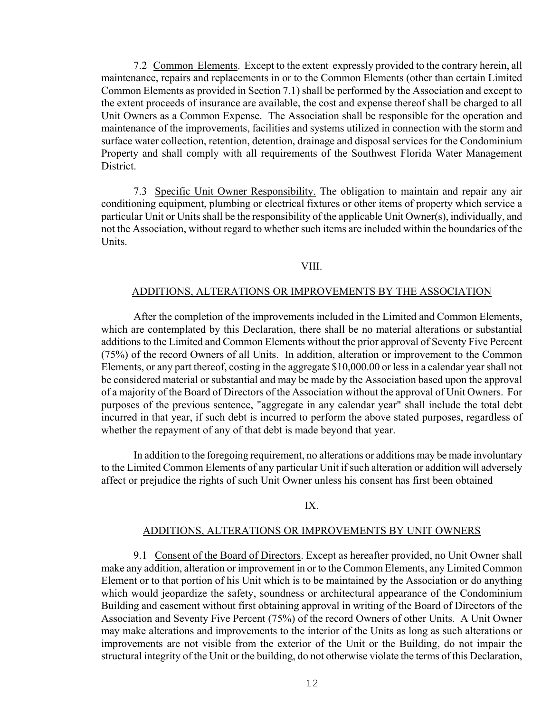7.2 Common Elements. Except to the extent expressly provided to the contrary herein, all maintenance, repairs and replacements in or to the Common Elements (other than certain Limited Common Elements as provided in Section 7.1) shall be performed by the Association and except to the extent proceeds of insurance are available, the cost and expense thereof shall be charged to all Unit Owners as a Common Expense. The Association shall be responsible for the operation and maintenance of the improvements, facilities and systems utilized in connection with the storm and surface water collection, retention, detention, drainage and disposal services for the Condominium Property and shall comply with all requirements of the Southwest Florida Water Management **District** 

 7.3 Specific Unit Owner Responsibility. The obligation to maintain and repair any air conditioning equipment, plumbing or electrical fixtures or other items of property which service a particular Unit or Units shall be the responsibility of the applicable Unit Owner(s), individually, and not the Association, without regard to whether such items are included within the boundaries of the Units.

## VIII.

# ADDITIONS, ALTERATIONS OR IMPROVEMENTS BY THE ASSOCIATION

 After the completion of the improvements included in the Limited and Common Elements, which are contemplated by this Declaration, there shall be no material alterations or substantial additions to the Limited and Common Elements without the prior approval of Seventy Five Percent (75%) of the record Owners of all Units. In addition, alteration or improvement to the Common Elements, or any part thereof, costing in the aggregate \$10,000.00 or less in a calendar year shall not be considered material or substantial and may be made by the Association based upon the approval of a majority of the Board of Directors of the Association without the approval of Unit Owners. For purposes of the previous sentence, "aggregate in any calendar year" shall include the total debt incurred in that year, if such debt is incurred to perform the above stated purposes, regardless of whether the repayment of any of that debt is made beyond that year.

 In addition to the foregoing requirement, no alterations or additions may be made involuntary to the Limited Common Elements of any particular Unit if such alteration or addition will adversely affect or prejudice the rights of such Unit Owner unless his consent has first been obtained

#### IX.

# ADDITIONS, ALTERATIONS OR IMPROVEMENTS BY UNIT OWNERS

 9.1 Consent of the Board of Directors. Except as hereafter provided, no Unit Owner shall make any addition, alteration or improvement in or to the Common Elements, any Limited Common Element or to that portion of his Unit which is to be maintained by the Association or do anything which would jeopardize the safety, soundness or architectural appearance of the Condominium Building and easement without first obtaining approval in writing of the Board of Directors of the Association and Seventy Five Percent (75%) of the record Owners of other Units. A Unit Owner may make alterations and improvements to the interior of the Units as long as such alterations or improvements are not visible from the exterior of the Unit or the Building, do not impair the structural integrity of the Unit or the building, do not otherwise violate the terms of this Declaration,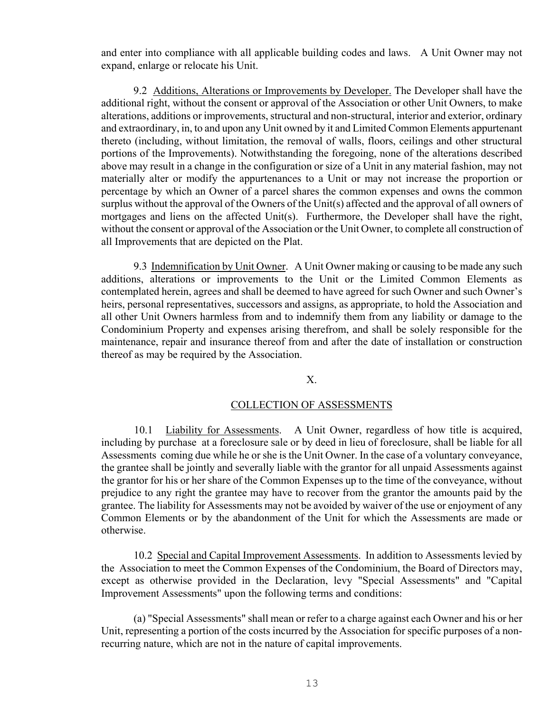and enter into compliance with all applicable building codes and laws. A Unit Owner may not expand, enlarge or relocate his Unit.

 9.2 Additions, Alterations or Improvements by Developer. The Developer shall have the additional right, without the consent or approval of the Association or other Unit Owners, to make alterations, additions or improvements, structural and non-structural, interior and exterior, ordinary and extraordinary, in, to and upon any Unit owned by it and Limited Common Elements appurtenant thereto (including, without limitation, the removal of walls, floors, ceilings and other structural portions of the Improvements). Notwithstanding the foregoing, none of the alterations described above may result in a change in the configuration or size of a Unit in any material fashion, may not materially alter or modify the appurtenances to a Unit or may not increase the proportion or percentage by which an Owner of a parcel shares the common expenses and owns the common surplus without the approval of the Owners of the Unit(s) affected and the approval of all owners of mortgages and liens on the affected Unit(s). Furthermore, the Developer shall have the right, without the consent or approval of the Association or the Unit Owner, to complete all construction of all Improvements that are depicted on the Plat.

9.3 Indemnification by Unit Owner. A Unit Owner making or causing to be made any such additions, alterations or improvements to the Unit or the Limited Common Elements as contemplated herein, agrees and shall be deemed to have agreed for such Owner and such Owner's heirs, personal representatives, successors and assigns, as appropriate, to hold the Association and all other Unit Owners harmless from and to indemnify them from any liability or damage to the Condominium Property and expenses arising therefrom, and shall be solely responsible for the maintenance, repair and insurance thereof from and after the date of installation or construction thereof as may be required by the Association.

# X.

# COLLECTION OF ASSESSMENTS

 10.1 Liability for Assessments. A Unit Owner, regardless of how title is acquired, including by purchase at a foreclosure sale or by deed in lieu of foreclosure, shall be liable for all Assessments coming due while he or she is the Unit Owner. In the case of a voluntary conveyance, the grantee shall be jointly and severally liable with the grantor for all unpaid Assessments against the grantor for his or her share of the Common Expenses up to the time of the conveyance, without prejudice to any right the grantee may have to recover from the grantor the amounts paid by the grantee. The liability for Assessments may not be avoided by waiver of the use or enjoyment of any Common Elements or by the abandonment of the Unit for which the Assessments are made or otherwise.

 10.2 Special and Capital Improvement Assessments. In addition to Assessments levied by the Association to meet the Common Expenses of the Condominium, the Board of Directors may, except as otherwise provided in the Declaration, levy "Special Assessments" and "Capital Improvement Assessments" upon the following terms and conditions:

 (a) "Special Assessments" shall mean or refer to a charge against each Owner and his or her Unit, representing a portion of the costs incurred by the Association for specific purposes of a nonrecurring nature, which are not in the nature of capital improvements.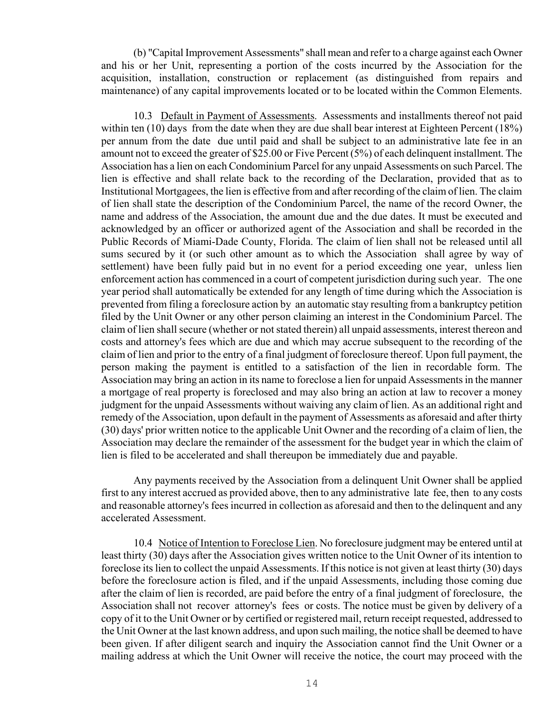(b) "Capital Improvement Assessments" shall mean and refer to a charge against each Owner and his or her Unit, representing a portion of the costs incurred by the Association for the acquisition, installation, construction or replacement (as distinguished from repairs and maintenance) of any capital improvements located or to be located within the Common Elements.

 10.3 Default in Payment of Assessments. Assessments and installments thereof not paid within ten (10) days from the date when they are due shall bear interest at Eighteen Percent (18%) per annum from the date due until paid and shall be subject to an administrative late fee in an amount not to exceed the greater of \$25.00 or Five Percent (5%) of each delinquent installment. The Association has a lien on each Condominium Parcel for any unpaid Assessments on such Parcel. The lien is effective and shall relate back to the recording of the Declaration, provided that as to Institutional Mortgagees, the lien is effective from and after recording of the claim of lien. The claim of lien shall state the description of the Condominium Parcel, the name of the record Owner, the name and address of the Association, the amount due and the due dates. It must be executed and acknowledged by an officer or authorized agent of the Association and shall be recorded in the Public Records of Miami-Dade County, Florida. The claim of lien shall not be released until all sums secured by it (or such other amount as to which the Association shall agree by way of settlement) have been fully paid but in no event for a period exceeding one year, unless lien enforcement action has commenced in a court of competent jurisdiction during such year. The one year period shall automatically be extended for any length of time during which the Association is prevented from filing a foreclosure action by an automatic stay resulting from a bankruptcy petition filed by the Unit Owner or any other person claiming an interest in the Condominium Parcel. The claim of lien shall secure (whether or not stated therein) all unpaid assessments, interest thereon and costs and attorney's fees which are due and which may accrue subsequent to the recording of the claim of lien and prior to the entry of a final judgment of foreclosure thereof. Upon full payment, the person making the payment is entitled to a satisfaction of the lien in recordable form. The Association may bring an action in its name to foreclose a lien for unpaid Assessments in the manner a mortgage of real property is foreclosed and may also bring an action at law to recover a money judgment for the unpaid Assessments without waiving any claim of lien. As an additional right and remedy of the Association, upon default in the payment of Assessments as aforesaid and after thirty (30) days' prior written notice to the applicable Unit Owner and the recording of a claim of lien, the Association may declare the remainder of the assessment for the budget year in which the claim of lien is filed to be accelerated and shall thereupon be immediately due and payable.

 Any payments received by the Association from a delinquent Unit Owner shall be applied first to any interest accrued as provided above, then to any administrative late fee, then to any costs and reasonable attorney's fees incurred in collection as aforesaid and then to the delinquent and any accelerated Assessment.

 10.4 Notice of Intention to Foreclose Lien. No foreclosure judgment may be entered until at least thirty (30) days after the Association gives written notice to the Unit Owner of its intention to foreclose its lien to collect the unpaid Assessments. If this notice is not given at least thirty (30) days before the foreclosure action is filed, and if the unpaid Assessments, including those coming due after the claim of lien is recorded, are paid before the entry of a final judgment of foreclosure, the Association shall not recover attorney's fees or costs. The notice must be given by delivery of a copy of it to the Unit Owner or by certified or registered mail, return receipt requested, addressed to the Unit Owner at the last known address, and upon such mailing, the notice shall be deemed to have been given. If after diligent search and inquiry the Association cannot find the Unit Owner or a mailing address at which the Unit Owner will receive the notice, the court may proceed with the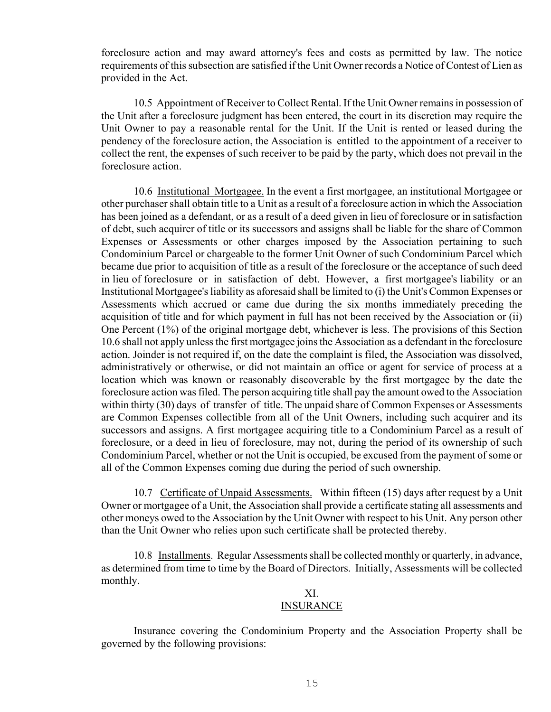foreclosure action and may award attorney's fees and costs as permitted by law. The notice requirements of this subsection are satisfied if the Unit Owner records a Notice of Contest of Lien as provided in the Act.

 10.5 Appointment of Receiver to Collect Rental. If the Unit Owner remains in possession of the Unit after a foreclosure judgment has been entered, the court in its discretion may require the Unit Owner to pay a reasonable rental for the Unit. If the Unit is rented or leased during the pendency of the foreclosure action, the Association is entitled to the appointment of a receiver to collect the rent, the expenses of such receiver to be paid by the party, which does not prevail in the foreclosure action.

 10.6 Institutional Mortgagee. In the event a first mortgagee, an institutional Mortgagee or other purchaser shall obtain title to a Unit as a result of a foreclosure action in which the Association has been joined as a defendant, or as a result of a deed given in lieu of foreclosure or in satisfaction of debt, such acquirer of title or its successors and assigns shall be liable for the share of Common Expenses or Assessments or other charges imposed by the Association pertaining to such Condominium Parcel or chargeable to the former Unit Owner of such Condominium Parcel which became due prior to acquisition of title as a result of the foreclosure or the acceptance of such deed in lieu of foreclosure or in satisfaction of debt. However, a first mortgagee's liability or an Institutional Mortgagee's liability as aforesaid shall be limited to (i) the Unit's Common Expenses or Assessments which accrued or came due during the six months immediately preceding the acquisition of title and for which payment in full has not been received by the Association or (ii) One Percent (1%) of the original mortgage debt, whichever is less. The provisions of this Section 10.6 shall not apply unless the first mortgagee joins the Association as a defendant in the foreclosure action. Joinder is not required if, on the date the complaint is filed, the Association was dissolved, administratively or otherwise, or did not maintain an office or agent for service of process at a location which was known or reasonably discoverable by the first mortgagee by the date the foreclosure action was filed. The person acquiring title shall pay the amount owed to the Association within thirty (30) days of transfer of title. The unpaid share of Common Expenses or Assessments are Common Expenses collectible from all of the Unit Owners, including such acquirer and its successors and assigns. A first mortgagee acquiring title to a Condominium Parcel as a result of foreclosure, or a deed in lieu of foreclosure, may not, during the period of its ownership of such Condominium Parcel, whether or not the Unit is occupied, be excused from the payment of some or all of the Common Expenses coming due during the period of such ownership.

 10.7 Certificate of Unpaid Assessments. Within fifteen (15) days after request by a Unit Owner or mortgagee of a Unit, the Association shall provide a certificate stating all assessments and other moneys owed to the Association by the Unit Owner with respect to his Unit. Any person other than the Unit Owner who relies upon such certificate shall be protected thereby.

 10.8 Installments. Regular Assessments shall be collected monthly or quarterly, in advance, as determined from time to time by the Board of Directors. Initially, Assessments will be collected monthly.

## XI. INSURANCE

 Insurance covering the Condominium Property and the Association Property shall be governed by the following provisions: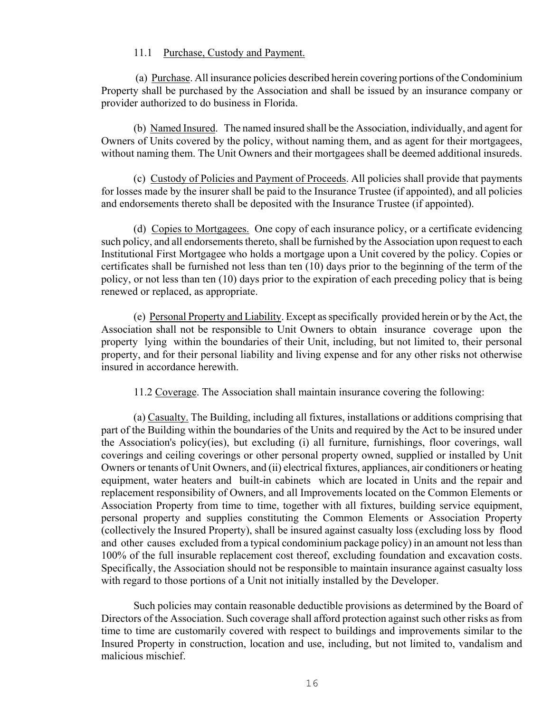## 11.1 Purchase, Custody and Payment.

 (a) Purchase. All insurance policies described herein covering portions of the Condominium Property shall be purchased by the Association and shall be issued by an insurance company or provider authorized to do business in Florida.

 (b) Named Insured. The named insured shall be the Association, individually, and agent for Owners of Units covered by the policy, without naming them, and as agent for their mortgagees, without naming them. The Unit Owners and their mortgagees shall be deemed additional insureds.

 (c) Custody of Policies and Payment of Proceeds. All policies shall provide that payments for losses made by the insurer shall be paid to the Insurance Trustee (if appointed), and all policies and endorsements thereto shall be deposited with the Insurance Trustee (if appointed).

 (d) Copies to Mortgagees. One copy of each insurance policy, or a certificate evidencing such policy, and all endorsements thereto, shall be furnished by the Association upon request to each Institutional First Mortgagee who holds a mortgage upon a Unit covered by the policy. Copies or certificates shall be furnished not less than ten (10) days prior to the beginning of the term of the policy, or not less than ten (10) days prior to the expiration of each preceding policy that is being renewed or replaced, as appropriate.

 (e) Personal Property and Liability. Except as specifically provided herein or by the Act, the Association shall not be responsible to Unit Owners to obtain insurance coverage upon the property lying within the boundaries of their Unit, including, but not limited to, their personal property, and for their personal liability and living expense and for any other risks not otherwise insured in accordance herewith.

11.2 Coverage. The Association shall maintain insurance covering the following:

 (a) Casualty. The Building, including all fixtures, installations or additions comprising that part of the Building within the boundaries of the Units and required by the Act to be insured under the Association's policy(ies), but excluding (i) all furniture, furnishings, floor coverings, wall coverings and ceiling coverings or other personal property owned, supplied or installed by Unit Owners or tenants of Unit Owners, and (ii) electrical fixtures, appliances, air conditioners or heating equipment, water heaters and built-in cabinets which are located in Units and the repair and replacement responsibility of Owners, and all Improvements located on the Common Elements or Association Property from time to time, together with all fixtures, building service equipment, personal property and supplies constituting the Common Elements or Association Property (collectively the Insured Property), shall be insured against casualty loss (excluding loss by flood and other causes excluded from a typical condominium package policy) in an amount not less than 100% of the full insurable replacement cost thereof, excluding foundation and excavation costs. Specifically, the Association should not be responsible to maintain insurance against casualty loss with regard to those portions of a Unit not initially installed by the Developer.

 Such policies may contain reasonable deductible provisions as determined by the Board of Directors of the Association. Such coverage shall afford protection against such other risks as from time to time are customarily covered with respect to buildings and improvements similar to the Insured Property in construction, location and use, including, but not limited to, vandalism and malicious mischief.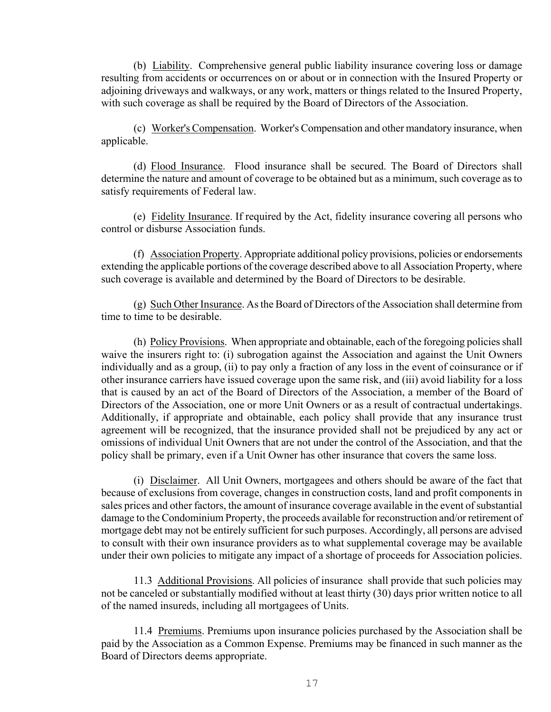(b) Liability. Comprehensive general public liability insurance covering loss or damage resulting from accidents or occurrences on or about or in connection with the Insured Property or adjoining driveways and walkways, or any work, matters or things related to the Insured Property, with such coverage as shall be required by the Board of Directors of the Association.

 (c) Worker's Compensation. Worker's Compensation and other mandatory insurance, when applicable.

 (d) Flood Insurance. Flood insurance shall be secured. The Board of Directors shall determine the nature and amount of coverage to be obtained but as a minimum, such coverage as to satisfy requirements of Federal law.

 (e) Fidelity Insurance. If required by the Act, fidelity insurance covering all persons who control or disburse Association funds.

 (f) Association Property. Appropriate additional policy provisions, policies or endorsements extending the applicable portions of the coverage described above to all Association Property, where such coverage is available and determined by the Board of Directors to be desirable.

 (g) Such Other Insurance. As the Board of Directors of the Association shall determine from time to time to be desirable.

 (h) Policy Provisions. When appropriate and obtainable, each of the foregoing policies shall waive the insurers right to: (i) subrogation against the Association and against the Unit Owners individually and as a group, (ii) to pay only a fraction of any loss in the event of coinsurance or if other insurance carriers have issued coverage upon the same risk, and (iii) avoid liability for a loss that is caused by an act of the Board of Directors of the Association, a member of the Board of Directors of the Association, one or more Unit Owners or as a result of contractual undertakings. Additionally, if appropriate and obtainable, each policy shall provide that any insurance trust agreement will be recognized, that the insurance provided shall not be prejudiced by any act or omissions of individual Unit Owners that are not under the control of the Association, and that the policy shall be primary, even if a Unit Owner has other insurance that covers the same loss.

 (i) Disclaimer. All Unit Owners, mortgagees and others should be aware of the fact that because of exclusions from coverage, changes in construction costs, land and profit components in sales prices and other factors, the amount of insurance coverage available in the event of substantial damage to the Condominium Property, the proceeds available for reconstruction and/or retirement of mortgage debt may not be entirely sufficient for such purposes. Accordingly, all persons are advised to consult with their own insurance providers as to what supplemental coverage may be available under their own policies to mitigate any impact of a shortage of proceeds for Association policies.

 11.3 Additional Provisions. All policies of insurance shall provide that such policies may not be canceled or substantially modified without at least thirty (30) days prior written notice to all of the named insureds, including all mortgagees of Units.

 11.4 Premiums. Premiums upon insurance policies purchased by the Association shall be paid by the Association as a Common Expense. Premiums may be financed in such manner as the Board of Directors deems appropriate.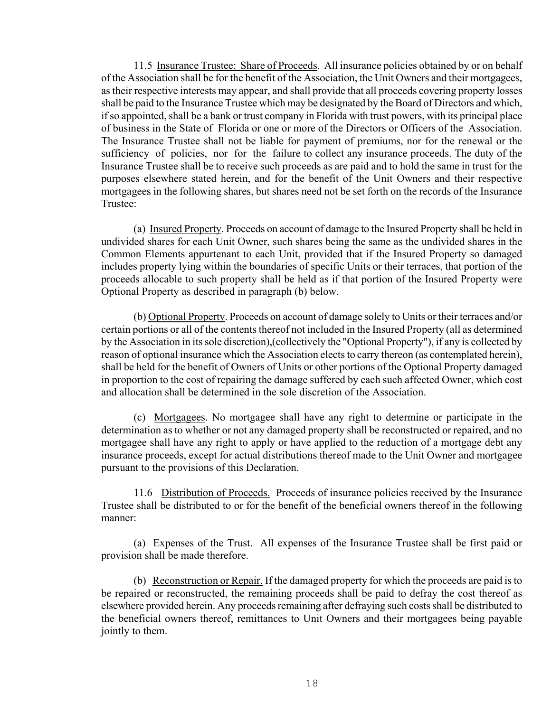11.5 Insurance Trustee: Share of Proceeds. All insurance policies obtained by or on behalf of the Association shall be for the benefit of the Association, the Unit Owners and their mortgagees, as their respective interests may appear, and shall provide that all proceeds covering property losses shall be paid to the Insurance Trustee which may be designated by the Board of Directors and which, if so appointed, shall be a bank or trust company in Florida with trust powers, with its principal place of business in the State of Florida or one or more of the Directors or Officers of the Association. The Insurance Trustee shall not be liable for payment of premiums, nor for the renewal or the sufficiency of policies, nor for the failure to collect any insurance proceeds. The duty of the Insurance Trustee shall be to receive such proceeds as are paid and to hold the same in trust for the purposes elsewhere stated herein, and for the benefit of the Unit Owners and their respective mortgagees in the following shares, but shares need not be set forth on the records of the Insurance Trustee:

 (a) Insured Property. Proceeds on account of damage to the Insured Property shall be held in undivided shares for each Unit Owner, such shares being the same as the undivided shares in the Common Elements appurtenant to each Unit, provided that if the Insured Property so damaged includes property lying within the boundaries of specific Units or their terraces, that portion of the proceeds allocable to such property shall be held as if that portion of the Insured Property were Optional Property as described in paragraph (b) below.

 (b) Optional Property. Proceeds on account of damage solely to Units or their terraces and/or certain portions or all of the contents thereof not included in the Insured Property (all as determined by the Association in its sole discretion),(collectively the "Optional Property"), if any is collected by reason of optional insurance which the Association elects to carry thereon (as contemplated herein), shall be held for the benefit of Owners of Units or other portions of the Optional Property damaged in proportion to the cost of repairing the damage suffered by each such affected Owner, which cost and allocation shall be determined in the sole discretion of the Association.

 (c) Mortgagees. No mortgagee shall have any right to determine or participate in the determination as to whether or not any damaged property shall be reconstructed or repaired, and no mortgagee shall have any right to apply or have applied to the reduction of a mortgage debt any insurance proceeds, except for actual distributions thereof made to the Unit Owner and mortgagee pursuant to the provisions of this Declaration.

 11.6 Distribution of Proceeds. Proceeds of insurance policies received by the Insurance Trustee shall be distributed to or for the benefit of the beneficial owners thereof in the following manner:

 (a) Expenses of the Trust. All expenses of the Insurance Trustee shall be first paid or provision shall be made therefore.

 (b) Reconstruction or Repair. If the damaged property for which the proceeds are paid is to be repaired or reconstructed, the remaining proceeds shall be paid to defray the cost thereof as elsewhere provided herein. Any proceeds remaining after defraying such costs shall be distributed to the beneficial owners thereof, remittances to Unit Owners and their mortgagees being payable jointly to them.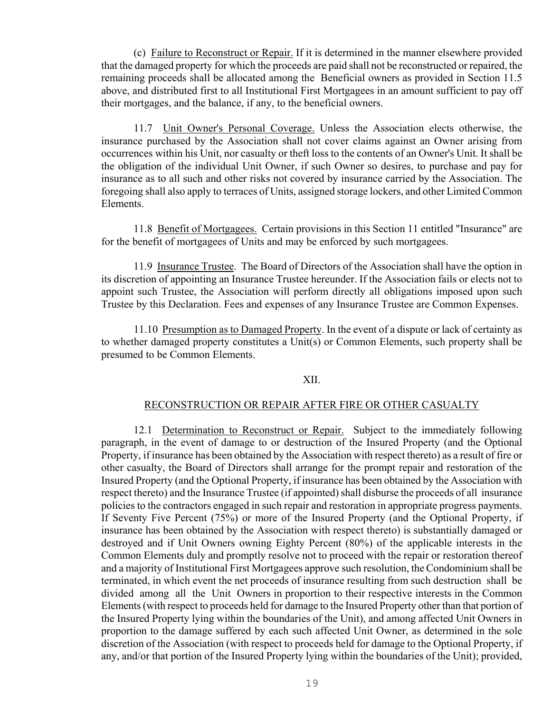(c) Failure to Reconstruct or Repair. If it is determined in the manner elsewhere provided that the damaged property for which the proceeds are paid shall not be reconstructed or repaired, the remaining proceeds shall be allocated among the Beneficial owners as provided in Section 11.5 above, and distributed first to all Institutional First Mortgagees in an amount sufficient to pay off their mortgages, and the balance, if any, to the beneficial owners.

 11.7 Unit Owner's Personal Coverage. Unless the Association elects otherwise, the insurance purchased by the Association shall not cover claims against an Owner arising from occurrences within his Unit, nor casualty or theft loss to the contents of an Owner's Unit. It shall be the obligation of the individual Unit Owner, if such Owner so desires, to purchase and pay for insurance as to all such and other risks not covered by insurance carried by the Association. The foregoing shall also apply to terraces of Units, assigned storage lockers, and other Limited Common Elements.

 11.8 Benefit of Mortgagees. Certain provisions in this Section 11 entitled "Insurance" are for the benefit of mortgagees of Units and may be enforced by such mortgagees.

 11.9 Insurance Trustee. The Board of Directors of the Association shall have the option in its discretion of appointing an Insurance Trustee hereunder. If the Association fails or elects not to appoint such Trustee, the Association will perform directly all obligations imposed upon such Trustee by this Declaration. Fees and expenses of any Insurance Trustee are Common Expenses.

 11.10 Presumption as to Damaged Property. In the event of a dispute or lack of certainty as to whether damaged property constitutes a Unit(s) or Common Elements, such property shall be presumed to be Common Elements.

# XII.

# RECONSTRUCTION OR REPAIR AFTER FIRE OR OTHER CASUALTY

 12.1 Determination to Reconstruct or Repair. Subject to the immediately following paragraph, in the event of damage to or destruction of the Insured Property (and the Optional Property, if insurance has been obtained by the Association with respect thereto) as a result of fire or other casualty, the Board of Directors shall arrange for the prompt repair and restoration of the Insured Property (and the Optional Property, if insurance has been obtained by the Association with respect thereto) and the Insurance Trustee (if appointed) shall disburse the proceeds of all insurance policies to the contractors engaged in such repair and restoration in appropriate progress payments. If Seventy Five Percent (75%) or more of the Insured Property (and the Optional Property, if insurance has been obtained by the Association with respect thereto) is substantially damaged or destroyed and if Unit Owners owning Eighty Percent (80%) of the applicable interests in the Common Elements duly and promptly resolve not to proceed with the repair or restoration thereof and a majority of Institutional First Mortgagees approve such resolution, the Condominium shall be terminated, in which event the net proceeds of insurance resulting from such destruction shall be divided among all the Unit Owners in proportion to their respective interests in the Common Elements (with respect to proceeds held for damage to the Insured Property other than that portion of the Insured Property lying within the boundaries of the Unit), and among affected Unit Owners in proportion to the damage suffered by each such affected Unit Owner, as determined in the sole discretion of the Association (with respect to proceeds held for damage to the Optional Property, if any, and/or that portion of the Insured Property lying within the boundaries of the Unit); provided,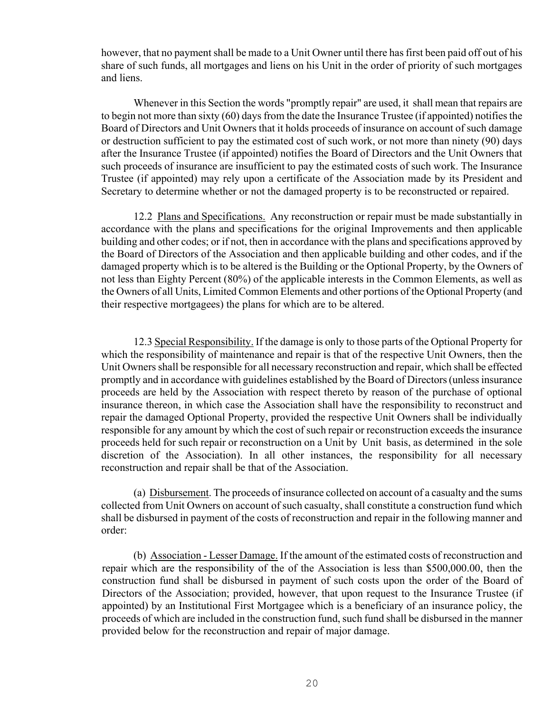however, that no payment shall be made to a Unit Owner until there has first been paid off out of his share of such funds, all mortgages and liens on his Unit in the order of priority of such mortgages and liens.

 Whenever in this Section the words "promptly repair" are used, it shall mean that repairs are to begin not more than sixty (60) days from the date the Insurance Trustee (if appointed) notifies the Board of Directors and Unit Owners that it holds proceeds of insurance on account of such damage or destruction sufficient to pay the estimated cost of such work, or not more than ninety (90) days after the Insurance Trustee (if appointed) notifies the Board of Directors and the Unit Owners that such proceeds of insurance are insufficient to pay the estimated costs of such work. The Insurance Trustee (if appointed) may rely upon a certificate of the Association made by its President and Secretary to determine whether or not the damaged property is to be reconstructed or repaired.

12.2 Plans and Specifications. Any reconstruction or repair must be made substantially in accordance with the plans and specifications for the original Improvements and then applicable building and other codes; or if not, then in accordance with the plans and specifications approved by the Board of Directors of the Association and then applicable building and other codes, and if the damaged property which is to be altered is the Building or the Optional Property, by the Owners of not less than Eighty Percent (80%) of the applicable interests in the Common Elements, as well as the Owners of all Units, Limited Common Elements and other portions of the Optional Property (and their respective mortgagees) the plans for which are to be altered.

 12.3 Special Responsibility. If the damage is only to those parts of the Optional Property for which the responsibility of maintenance and repair is that of the respective Unit Owners, then the Unit Owners shall be responsible for all necessary reconstruction and repair, which shall be effected promptly and in accordance with guidelines established by the Board of Directors (unless insurance proceeds are held by the Association with respect thereto by reason of the purchase of optional insurance thereon, in which case the Association shall have the responsibility to reconstruct and repair the damaged Optional Property, provided the respective Unit Owners shall be individually responsible for any amount by which the cost of such repair or reconstruction exceeds the insurance proceeds held for such repair or reconstruction on a Unit by Unit basis, as determined in the sole discretion of the Association). In all other instances, the responsibility for all necessary reconstruction and repair shall be that of the Association.

 (a) Disbursement. The proceeds of insurance collected on account of a casualty and the sums collected from Unit Owners on account of such casualty, shall constitute a construction fund which shall be disbursed in payment of the costs of reconstruction and repair in the following manner and order:

 (b) Association - Lesser Damage. If the amount of the estimated costs of reconstruction and repair which are the responsibility of the of the Association is less than \$500,000.00, then the construction fund shall be disbursed in payment of such costs upon the order of the Board of Directors of the Association; provided, however, that upon request to the Insurance Trustee (if appointed) by an Institutional First Mortgagee which is a beneficiary of an insurance policy, the proceeds of which are included in the construction fund, such fund shall be disbursed in the manner provided below for the reconstruction and repair of major damage.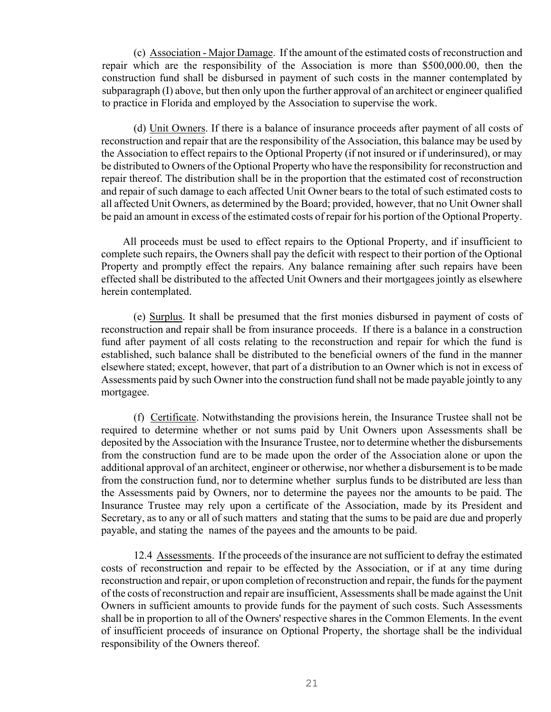(c) Association - Major Damage. If the amount of the estimated costs of reconstruction and repair which are the responsibility of the Association is more than \$500,000.00, then the construction fund shall be disbursed in payment of such costs in the manner contemplated by subparagraph (I) above, but then only upon the further approval of an architect or engineer qualified to practice in Florida and employed by the Association to supervise the work.

 (d) Unit Owners. If there is a balance of insurance proceeds after payment of all costs of reconstruction and repair that are the responsibility of the Association, this balance may be used by the Association to effect repairs to the Optional Property (if not insured or if underinsured), or may be distributed to Owners of the Optional Property who have the responsibility for reconstruction and repair thereof. The distribution shall be in the proportion that the estimated cost of reconstruction and repair of such damage to each affected Unit Owner bears to the total of such estimated costs to all affected Unit Owners, as determined by the Board; provided, however, that no Unit Owner shall be paid an amount in excess of the estimated costs of repair for his portion of the Optional Property.

 All proceeds must be used to effect repairs to the Optional Property, and if insufficient to complete such repairs, the Owners shall pay the deficit with respect to their portion of the Optional Property and promptly effect the repairs. Any balance remaining after such repairs have been effected shall be distributed to the affected Unit Owners and their mortgagees jointly as elsewhere herein contemplated.

 (e) Surplus. It shall be presumed that the first monies disbursed in payment of costs of reconstruction and repair shall be from insurance proceeds. If there is a balance in a construction fund after payment of all costs relating to the reconstruction and repair for which the fund is established, such balance shall be distributed to the beneficial owners of the fund in the manner elsewhere stated; except, however, that part of a distribution to an Owner which is not in excess of Assessments paid by such Owner into the construction fund shall not be made payable jointly to any mortgagee.

 (f) Certificate. Notwithstanding the provisions herein, the Insurance Trustee shall not be required to determine whether or not sums paid by Unit Owners upon Assessments shall be deposited by the Association with the Insurance Trustee, nor to determine whether the disbursements from the construction fund are to be made upon the order of the Association alone or upon the additional approval of an architect, engineer or otherwise, nor whether a disbursement is to be made from the construction fund, nor to determine whether surplus funds to be distributed are less than the Assessments paid by Owners, nor to determine the payees nor the amounts to be paid. The Insurance Trustee may rely upon a certificate of the Association, made by its President and Secretary, as to any or all of such matters and stating that the sums to be paid are due and properly payable, and stating the names of the payees and the amounts to be paid.

 12.4 Assessments. If the proceeds of the insurance are not sufficient to defray the estimated costs of reconstruction and repair to be effected by the Association, or if at any time during reconstruction and repair, or upon completion of reconstruction and repair, the funds for the payment of the costs of reconstruction and repair are insufficient, Assessments shall be made against the Unit Owners in sufficient amounts to provide funds for the payment of such costs. Such Assessments shall be in proportion to all of the Owners' respective shares in the Common Elements. In the event of insufficient proceeds of insurance on Optional Property, the shortage shall be the individual responsibility of the Owners thereof.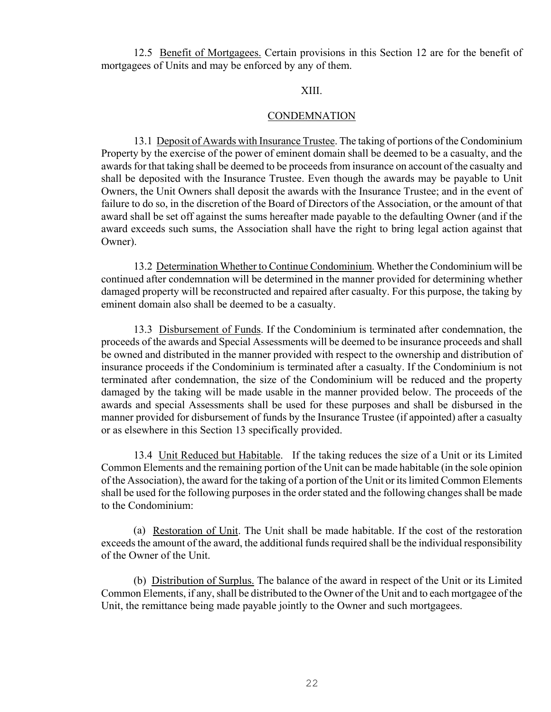12.5 Benefit of Mortgagees. Certain provisions in this Section 12 are for the benefit of mortgagees of Units and may be enforced by any of them.

# XIII.

## **CONDEMNATION**

 13.1 Deposit of Awards with Insurance Trustee. The taking of portions of the Condominium Property by the exercise of the power of eminent domain shall be deemed to be a casualty, and the awards for that taking shall be deemed to be proceeds from insurance on account of the casualty and shall be deposited with the Insurance Trustee. Even though the awards may be payable to Unit Owners, the Unit Owners shall deposit the awards with the Insurance Trustee; and in the event of failure to do so, in the discretion of the Board of Directors of the Association, or the amount of that award shall be set off against the sums hereafter made payable to the defaulting Owner (and if the award exceeds such sums, the Association shall have the right to bring legal action against that Owner).

 13.2 Determination Whether to Continue Condominium. Whether the Condominium will be continued after condemnation will be determined in the manner provided for determining whether damaged property will be reconstructed and repaired after casualty. For this purpose, the taking by eminent domain also shall be deemed to be a casualty.

 13.3 Disbursement of Funds. If the Condominium is terminated after condemnation, the proceeds of the awards and Special Assessments will be deemed to be insurance proceeds and shall be owned and distributed in the manner provided with respect to the ownership and distribution of insurance proceeds if the Condominium is terminated after a casualty. If the Condominium is not terminated after condemnation, the size of the Condominium will be reduced and the property damaged by the taking will be made usable in the manner provided below. The proceeds of the awards and special Assessments shall be used for these purposes and shall be disbursed in the manner provided for disbursement of funds by the Insurance Trustee (if appointed) after a casualty or as elsewhere in this Section 13 specifically provided.

 13.4 Unit Reduced but Habitable. If the taking reduces the size of a Unit or its Limited Common Elements and the remaining portion of the Unit can be made habitable (in the sole opinion of the Association), the award for the taking of a portion of the Unit or its limited Common Elements shall be used for the following purposes in the order stated and the following changes shall be made to the Condominium:

 (a) Restoration of Unit. The Unit shall be made habitable. If the cost of the restoration exceeds the amount of the award, the additional funds required shall be the individual responsibility of the Owner of the Unit.

 (b) Distribution of Surplus. The balance of the award in respect of the Unit or its Limited Common Elements, if any, shall be distributed to the Owner of the Unit and to each mortgagee of the Unit, the remittance being made payable jointly to the Owner and such mortgagees.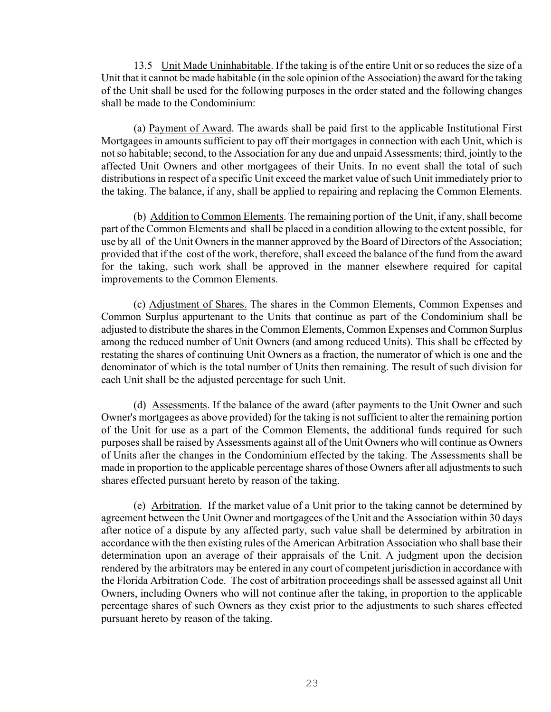13.5 Unit Made Uninhabitable. If the taking is of the entire Unit or so reduces the size of a Unit that it cannot be made habitable (in the sole opinion of the Association) the award for the taking of the Unit shall be used for the following purposes in the order stated and the following changes shall be made to the Condominium:

 (a) Payment of Award. The awards shall be paid first to the applicable Institutional First Mortgagees in amounts sufficient to pay off their mortgages in connection with each Unit, which is not so habitable; second, to the Association for any due and unpaid Assessments; third, jointly to the affected Unit Owners and other mortgagees of their Units. In no event shall the total of such distributions in respect of a specific Unit exceed the market value of such Unit immediately prior to the taking. The balance, if any, shall be applied to repairing and replacing the Common Elements.

 (b) Addition to Common Elements. The remaining portion of the Unit, if any, shall become part of the Common Elements and shall be placed in a condition allowing to the extent possible, for use by all of the Unit Owners in the manner approved by the Board of Directors of the Association; provided that if the cost of the work, therefore, shall exceed the balance of the fund from the award for the taking, such work shall be approved in the manner elsewhere required for capital improvements to the Common Elements.

 (c) Adjustment of Shares. The shares in the Common Elements, Common Expenses and Common Surplus appurtenant to the Units that continue as part of the Condominium shall be adjusted to distribute the shares in the Common Elements, Common Expenses and Common Surplus among the reduced number of Unit Owners (and among reduced Units). This shall be effected by restating the shares of continuing Unit Owners as a fraction, the numerator of which is one and the denominator of which is the total number of Units then remaining. The result of such division for each Unit shall be the adjusted percentage for such Unit.

 (d) Assessments. If the balance of the award (after payments to the Unit Owner and such Owner's mortgagees as above provided) for the taking is not sufficient to alter the remaining portion of the Unit for use as a part of the Common Elements, the additional funds required for such purposes shall be raised by Assessments against all of the Unit Owners who will continue as Owners of Units after the changes in the Condominium effected by the taking. The Assessments shall be made in proportion to the applicable percentage shares of those Owners after all adjustments to such shares effected pursuant hereto by reason of the taking.

 (e) Arbitration. If the market value of a Unit prior to the taking cannot be determined by agreement between the Unit Owner and mortgagees of the Unit and the Association within 30 days after notice of a dispute by any affected party, such value shall be determined by arbitration in accordance with the then existing rules of the American Arbitration Association who shall base their determination upon an average of their appraisals of the Unit. A judgment upon the decision rendered by the arbitrators may be entered in any court of competent jurisdiction in accordance with the Florida Arbitration Code. The cost of arbitration proceedings shall be assessed against all Unit Owners, including Owners who will not continue after the taking, in proportion to the applicable percentage shares of such Owners as they exist prior to the adjustments to such shares effected pursuant hereto by reason of the taking.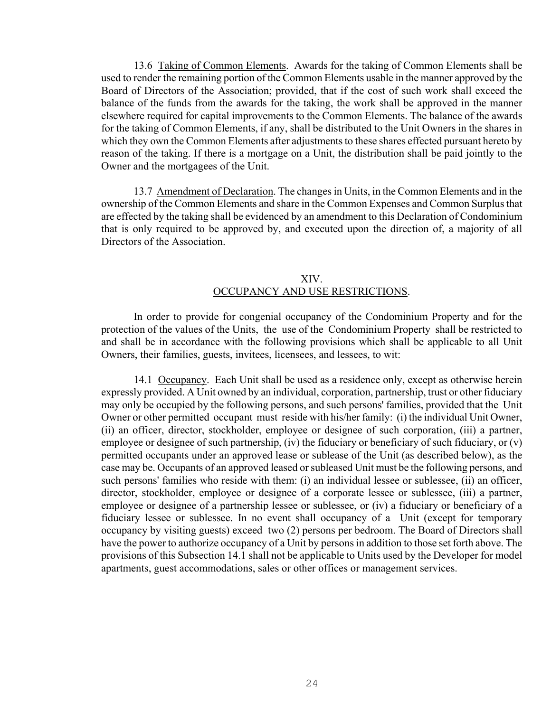13.6 Taking of Common Elements. Awards for the taking of Common Elements shall be used to render the remaining portion of the Common Elements usable in the manner approved by the Board of Directors of the Association; provided, that if the cost of such work shall exceed the balance of the funds from the awards for the taking, the work shall be approved in the manner elsewhere required for capital improvements to the Common Elements. The balance of the awards for the taking of Common Elements, if any, shall be distributed to the Unit Owners in the shares in which they own the Common Elements after adjustments to these shares effected pursuant hereto by reason of the taking. If there is a mortgage on a Unit, the distribution shall be paid jointly to the Owner and the mortgagees of the Unit.

 13.7 Amendment of Declaration. The changes in Units, in the Common Elements and in the ownership of the Common Elements and share in the Common Expenses and Common Surplus that are effected by the taking shall be evidenced by an amendment to this Declaration of Condominium that is only required to be approved by, and executed upon the direction of, a majority of all Directors of the Association.

# XIV. OCCUPANCY AND USE RESTRICTIONS.

 In order to provide for congenial occupancy of the Condominium Property and for the protection of the values of the Units, the use of the Condominium Property shall be restricted to and shall be in accordance with the following provisions which shall be applicable to all Unit Owners, their families, guests, invitees, licensees, and lessees, to wit:

 14.1 Occupancy. Each Unit shall be used as a residence only, except as otherwise herein expressly provided. A Unit owned by an individual, corporation, partnership, trust or other fiduciary may only be occupied by the following persons, and such persons' families, provided that the Unit Owner or other permitted occupant must reside with his/her family: (i) the individual Unit Owner, (ii) an officer, director, stockholder, employee or designee of such corporation, (iii) a partner, employee or designee of such partnership, (iv) the fiduciary or beneficiary of such fiduciary, or (v) permitted occupants under an approved lease or sublease of the Unit (as described below), as the case may be. Occupants of an approved leased or subleased Unit must be the following persons, and such persons' families who reside with them: (i) an individual lessee or sublessee, (ii) an officer, director, stockholder, employee or designee of a corporate lessee or sublessee, (iii) a partner, employee or designee of a partnership lessee or sublessee, or (iv) a fiduciary or beneficiary of a fiduciary lessee or sublessee. In no event shall occupancy of a Unit (except for temporary occupancy by visiting guests) exceed two (2) persons per bedroom. The Board of Directors shall have the power to authorize occupancy of a Unit by persons in addition to those set forth above. The provisions of this Subsection 14.1 shall not be applicable to Units used by the Developer for model apartments, guest accommodations, sales or other offices or management services.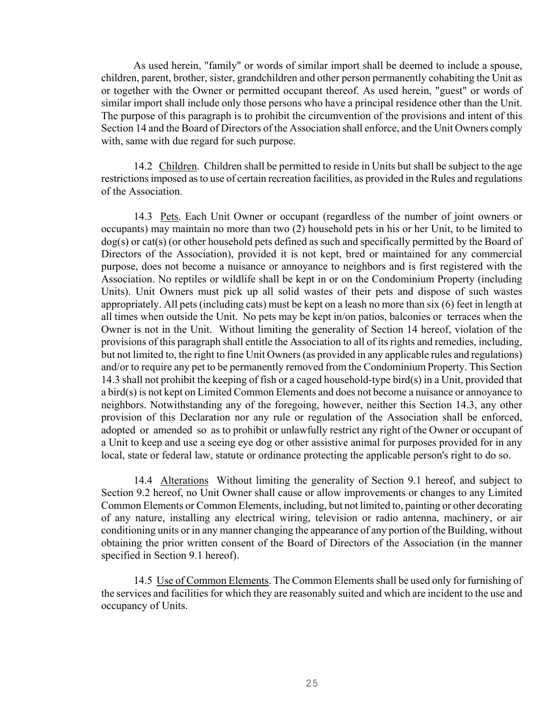As used herein, "family" or words of similar import shall be deemed to include a spouse, children, parent, brother, sister, grandchildren and other person permanently cohabiting the Unit as or together with the Owner or permitted occupant thereof. As used herein, "guest" or words of similar import shall include only those persons who have a principal residence other than the Unit. The purpose of this paragraph is to prohibit the circumvention of the provisions and intent of this Section 14 and the Board of Directors of the Association shall enforce, and the Unit Owners comply with, same with due regard for such purpose.

 14.2 Children. Children shall be permitted to reside in Units but shall be subject to the age restrictions imposed as to use of certain recreation facilities, as provided in the Rules and regulations of the Association.

 14.3 Pets. Each Unit Owner or occupant (regardless of the number of joint owners or occupants) may maintain no more than two (2) household pets in his or her Unit, to be limited to dog(s) or cat(s) (or other household pets defined as such and specifically permitted by the Board of Directors of the Association), provided it is not kept, bred or maintained for any commercial purpose, does not become a nuisance or annoyance to neighbors and is first registered with the Association. No reptiles or wildlife shall be kept in or on the Condominium Property (including Units). Unit Owners must pick up all solid wastes of their pets and dispose of such wastes appropriately. All pets (including cats) must be kept on a leash no more than six (6) feet in length at all times when outside the Unit. No pets may be kept in/on patios, balconies or terraces when the Owner is not in the Unit. Without limiting the generality of Section 14 hereof, violation of the provisions of this paragraph shall entitle the Association to all of its rights and remedies, including, but not limited to, the right to fine Unit Owners (as provided in any applicable rules and regulations) and/or to require any pet to be permanently removed from the Condominium Property. This Section 14.3 shall not prohibit the keeping of fish or a caged household-type bird(s) in a Unit, provided that a bird(s) is not kept on Limited Common Elements and does not become a nuisance or annoyance to neighbors. Notwithstanding any of the foregoing, however, neither this Section 14.3, any other provision of this Declaration nor any rule or regulation of the Association shall be enforced, adopted or amended so as to prohibit or unlawfully restrict any right of the Owner or occupant of a Unit to keep and use a seeing eye dog or other assistive animal for purposes provided for in any local, state or federal law, statute or ordinance protecting the applicable person's right to do so.

 14.4 Alterations Without limiting the generality of Section 9.1 hereof, and subject to Section 9.2 hereof, no Unit Owner shall cause or allow improvements or changes to any Limited Common Elements or Common Elements, including, but not limited to, painting or other decorating of any nature, installing any electrical wiring, television or radio antenna, machinery, or air conditioning units or in any manner changing the appearance of any portion of the Building, without obtaining the prior written consent of the Board of Directors of the Association (in the manner specified in Section 9.1 hereof).

 14.5 Use of Common Elements. The Common Elements shall be used only for furnishing of the services and facilities for which they are reasonably suited and which are incident to the use and occupancy of Units.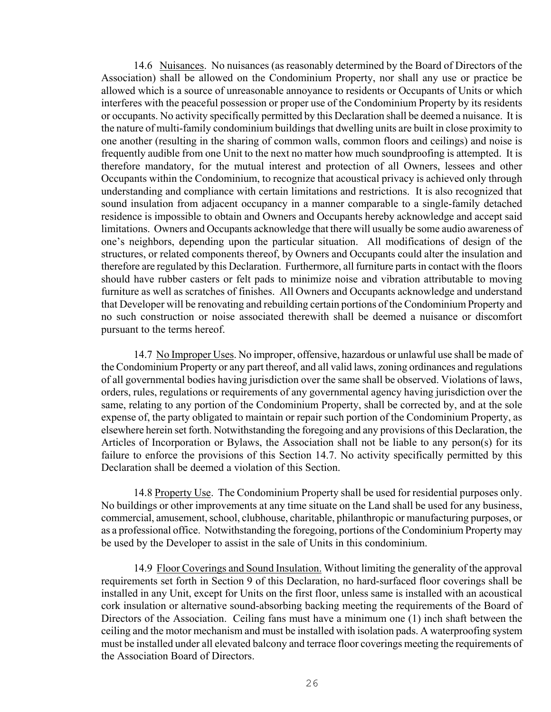14.6 Nuisances. No nuisances (as reasonably determined by the Board of Directors of the Association) shall be allowed on the Condominium Property, nor shall any use or practice be allowed which is a source of unreasonable annoyance to residents or Occupants of Units or which interferes with the peaceful possession or proper use of the Condominium Property by its residents or occupants. No activity specifically permitted by this Declaration shall be deemed a nuisance. It is the nature of multi-family condominium buildings that dwelling units are built in close proximity to one another (resulting in the sharing of common walls, common floors and ceilings) and noise is frequently audible from one Unit to the next no matter how much soundproofing is attempted. It is therefore mandatory, for the mutual interest and protection of all Owners, lessees and other Occupants within the Condominium, to recognize that acoustical privacy is achieved only through understanding and compliance with certain limitations and restrictions. It is also recognized that sound insulation from adjacent occupancy in a manner comparable to a single-family detached residence is impossible to obtain and Owners and Occupants hereby acknowledge and accept said limitations. Owners and Occupants acknowledge that there will usually be some audio awareness of one's neighbors, depending upon the particular situation. All modifications of design of the structures, or related components thereof, by Owners and Occupants could alter the insulation and therefore are regulated by this Declaration. Furthermore, all furniture parts in contact with the floors should have rubber casters or felt pads to minimize noise and vibration attributable to moving furniture as well as scratches of finishes. All Owners and Occupants acknowledge and understand that Developer will be renovating and rebuilding certain portions of the Condominium Property and no such construction or noise associated therewith shall be deemed a nuisance or discomfort pursuant to the terms hereof.

 14.7 No Improper Uses. No improper, offensive, hazardous or unlawful use shall be made of the Condominium Property or any part thereof, and all valid laws, zoning ordinances and regulations of all governmental bodies having jurisdiction over the same shall be observed. Violations of laws, orders, rules, regulations or requirements of any governmental agency having jurisdiction over the same, relating to any portion of the Condominium Property, shall be corrected by, and at the sole expense of, the party obligated to maintain or repair such portion of the Condominium Property, as elsewhere herein set forth. Notwithstanding the foregoing and any provisions of this Declaration, the Articles of Incorporation or Bylaws, the Association shall not be liable to any person(s) for its failure to enforce the provisions of this Section 14.7. No activity specifically permitted by this Declaration shall be deemed a violation of this Section.

 14.8 Property Use. The Condominium Property shall be used for residential purposes only. No buildings or other improvements at any time situate on the Land shall be used for any business, commercial, amusement, school, clubhouse, charitable, philanthropic or manufacturing purposes, or as a professional office. Notwithstanding the foregoing, portions of the Condominium Property may be used by the Developer to assist in the sale of Units in this condominium.

 14.9 Floor Coverings and Sound Insulation. Without limiting the generality of the approval requirements set forth in Section 9 of this Declaration, no hard-surfaced floor coverings shall be installed in any Unit, except for Units on the first floor, unless same is installed with an acoustical cork insulation or alternative sound-absorbing backing meeting the requirements of the Board of Directors of the Association. Ceiling fans must have a minimum one (1) inch shaft between the ceiling and the motor mechanism and must be installed with isolation pads. A waterproofing system must be installed under all elevated balcony and terrace floor coverings meeting the requirements of the Association Board of Directors.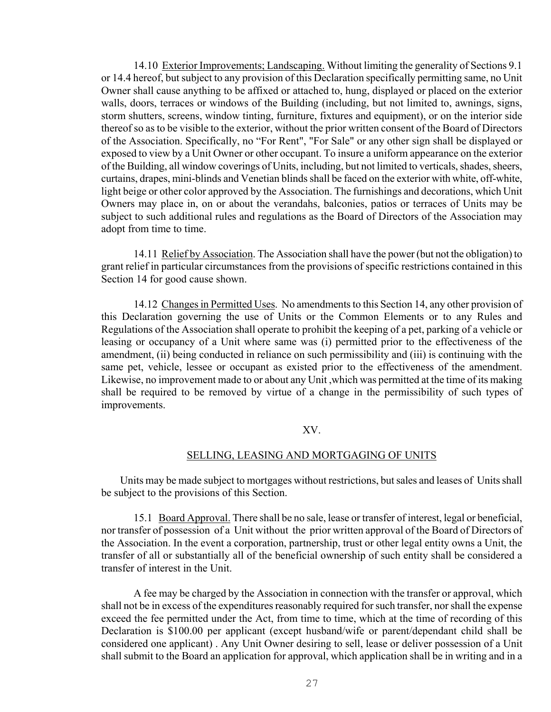14.10 Exterior Improvements; Landscaping. Without limiting the generality of Sections 9.1 or 14.4 hereof, but subject to any provision of this Declaration specifically permitting same, no Unit Owner shall cause anything to be affixed or attached to, hung, displayed or placed on the exterior walls, doors, terraces or windows of the Building (including, but not limited to, awnings, signs, storm shutters, screens, window tinting, furniture, fixtures and equipment), or on the interior side thereof so as to be visible to the exterior, without the prior written consent of the Board of Directors of the Association. Specifically, no "For Rent", "For Sale" or any other sign shall be displayed or exposed to view by a Unit Owner or other occupant. To insure a uniform appearance on the exterior of the Building, all window coverings of Units, including, but not limited to verticals, shades, sheers, curtains, drapes, mini-blinds and Venetian blinds shall be faced on the exterior with white, off-white, light beige or other color approved by the Association. The furnishings and decorations, which Unit Owners may place in, on or about the verandahs, balconies, patios or terraces of Units may be subject to such additional rules and regulations as the Board of Directors of the Association may adopt from time to time.

 14.11 Relief by Association. The Association shall have the power (but not the obligation) to grant relief in particular circumstances from the provisions of specific restrictions contained in this Section 14 for good cause shown.

 14.12 Changes in Permitted Uses. No amendments to this Section 14, any other provision of this Declaration governing the use of Units or the Common Elements or to any Rules and Regulations of the Association shall operate to prohibit the keeping of a pet, parking of a vehicle or leasing or occupancy of a Unit where same was (i) permitted prior to the effectiveness of the amendment, (ii) being conducted in reliance on such permissibility and (iii) is continuing with the same pet, vehicle, lessee or occupant as existed prior to the effectiveness of the amendment. Likewise, no improvement made to or about any Unit ,which was permitted at the time of its making shall be required to be removed by virtue of a change in the permissibility of such types of improvements.

## XV.

#### SELLING, LEASING AND MORTGAGING OF UNITS

 Units may be made subject to mortgages without restrictions, but sales and leases of Units shall be subject to the provisions of this Section.

 15.1 Board Approval. There shall be no sale, lease or transfer of interest, legal or beneficial, nor transfer of possession of a Unit without the prior written approval of the Board of Directors of the Association. In the event a corporation, partnership, trust or other legal entity owns a Unit, the transfer of all or substantially all of the beneficial ownership of such entity shall be considered a transfer of interest in the Unit.

 A fee may be charged by the Association in connection with the transfer or approval, which shall not be in excess of the expenditures reasonably required for such transfer, nor shall the expense exceed the fee permitted under the Act, from time to time, which at the time of recording of this Declaration is \$100.00 per applicant (except husband/wife or parent/dependant child shall be considered one applicant) . Any Unit Owner desiring to sell, lease or deliver possession of a Unit shall submit to the Board an application for approval, which application shall be in writing and in a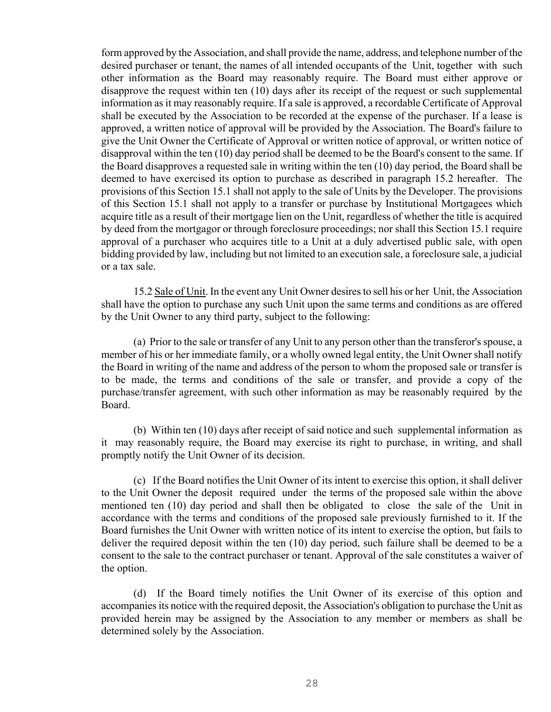form approved by the Association, and shall provide the name, address, and telephone number of the desired purchaser or tenant, the names of all intended occupants of the Unit, together with such other information as the Board may reasonably require. The Board must either approve or disapprove the request within ten (10) days after its receipt of the request or such supplemental information as it may reasonably require. If a sale is approved, a recordable Certificate of Approval shall be executed by the Association to be recorded at the expense of the purchaser. If a lease is approved, a written notice of approval will be provided by the Association. The Board's failure to give the Unit Owner the Certificate of Approval or written notice of approval, or written notice of disapproval within the ten (10) day period shall be deemed to be the Board's consent to the same. If the Board disapproves a requested sale in writing within the ten (10) day period, the Board shall be deemed to have exercised its option to purchase as described in paragraph 15.2 hereafter. The provisions of this Section 15.1 shall not apply to the sale of Units by the Developer. The provisions of this Section 15.1 shall not apply to a transfer or purchase by Institutional Mortgagees which acquire title as a result of their mortgage lien on the Unit, regardless of whether the title is acquired by deed from the mortgagor or through foreclosure proceedings; nor shall this Section 15.1 require approval of a purchaser who acquires title to a Unit at a duly advertised public sale, with open bidding provided by law, including but not limited to an execution sale, a foreclosure sale, a judicial or a tax sale.

 15.2 Sale of Unit. In the event any Unit Owner desires to sell his or her Unit, the Association shall have the option to purchase any such Unit upon the same terms and conditions as are offered by the Unit Owner to any third party, subject to the following:

 (a) Prior to the sale or transfer of any Unit to any person other than the transferor's spouse, a member of his or her immediate family, or a wholly owned legal entity, the Unit Owner shall notify the Board in writing of the name and address of the person to whom the proposed sale or transfer is to be made, the terms and conditions of the sale or transfer, and provide a copy of the purchase/transfer agreement, with such other information as may be reasonably required by the Board.

 (b) Within ten (10) days after receipt of said notice and such supplemental information as it may reasonably require, the Board may exercise its right to purchase, in writing, and shall promptly notify the Unit Owner of its decision.

 (c) If the Board notifies the Unit Owner of its intent to exercise this option, it shall deliver to the Unit Owner the deposit required under the terms of the proposed sale within the above mentioned ten (10) day period and shall then be obligated to close the sale of the Unit in accordance with the terms and conditions of the proposed sale previously furnished to it. If the Board furnishes the Unit Owner with written notice of its intent to exercise the option, but fails to deliver the required deposit within the ten (10) day period, such failure shall be deemed to be a consent to the sale to the contract purchaser or tenant. Approval of the sale constitutes a waiver of the option.

 (d) If the Board timely notifies the Unit Owner of its exercise of this option and accompanies its notice with the required deposit, the Association's obligation to purchase the Unit as provided herein may be assigned by the Association to any member or members as shall be determined solely by the Association.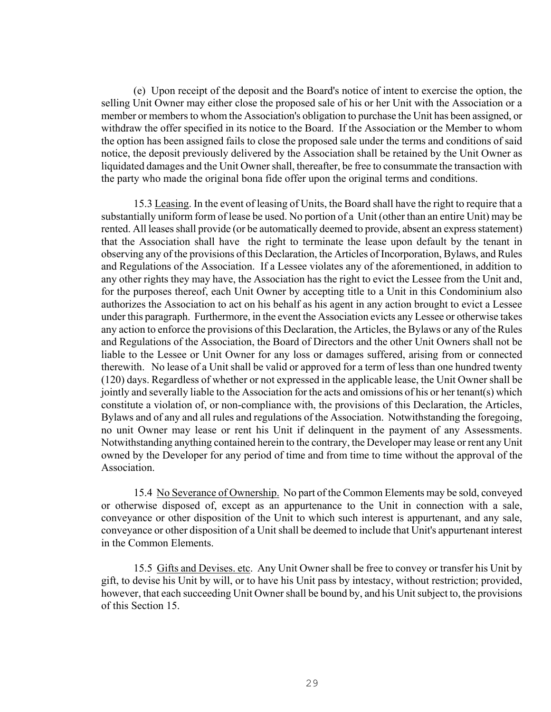(e) Upon receipt of the deposit and the Board's notice of intent to exercise the option, the selling Unit Owner may either close the proposed sale of his or her Unit with the Association or a member or members to whom the Association's obligation to purchase the Unit has been assigned, or withdraw the offer specified in its notice to the Board. If the Association or the Member to whom the option has been assigned fails to close the proposed sale under the terms and conditions of said notice, the deposit previously delivered by the Association shall be retained by the Unit Owner as liquidated damages and the Unit Owner shall, thereafter, be free to consummate the transaction with the party who made the original bona fide offer upon the original terms and conditions.

 15.3 Leasing. In the event of leasing of Units, the Board shall have the right to require that a substantially uniform form of lease be used. No portion of a Unit (other than an entire Unit) may be rented. All leases shall provide (or be automatically deemed to provide, absent an express statement) that the Association shall have the right to terminate the lease upon default by the tenant in observing any of the provisions of this Declaration, the Articles of Incorporation, Bylaws, and Rules and Regulations of the Association. If a Lessee violates any of the aforementioned, in addition to any other rights they may have, the Association has the right to evict the Lessee from the Unit and, for the purposes thereof, each Unit Owner by accepting title to a Unit in this Condominium also authorizes the Association to act on his behalf as his agent in any action brought to evict a Lessee under this paragraph. Furthermore, in the event the Association evicts any Lessee or otherwise takes any action to enforce the provisions of this Declaration, the Articles, the Bylaws or any of the Rules and Regulations of the Association, the Board of Directors and the other Unit Owners shall not be liable to the Lessee or Unit Owner for any loss or damages suffered, arising from or connected therewith. No lease of a Unit shall be valid or approved for a term of less than one hundred twenty (120) days. Regardless of whether or not expressed in the applicable lease, the Unit Owner shall be jointly and severally liable to the Association for the acts and omissions of his or her tenant(s) which constitute a violation of, or non-compliance with, the provisions of this Declaration, the Articles, Bylaws and of any and all rules and regulations of the Association. Notwithstanding the foregoing, no unit Owner may lease or rent his Unit if delinquent in the payment of any Assessments. Notwithstanding anything contained herein to the contrary, the Developer may lease or rent any Unit owned by the Developer for any period of time and from time to time without the approval of the **Association** 

 15.4 No Severance of Ownership. No part of the Common Elements may be sold, conveyed or otherwise disposed of, except as an appurtenance to the Unit in connection with a sale, conveyance or other disposition of the Unit to which such interest is appurtenant, and any sale, conveyance or other disposition of a Unit shall be deemed to include that Unit's appurtenant interest in the Common Elements.

 15.5 Gifts and Devises. etc. Any Unit Owner shall be free to convey or transfer his Unit by gift, to devise his Unit by will, or to have his Unit pass by intestacy, without restriction; provided, however, that each succeeding Unit Owner shall be bound by, and his Unit subject to, the provisions of this Section 15.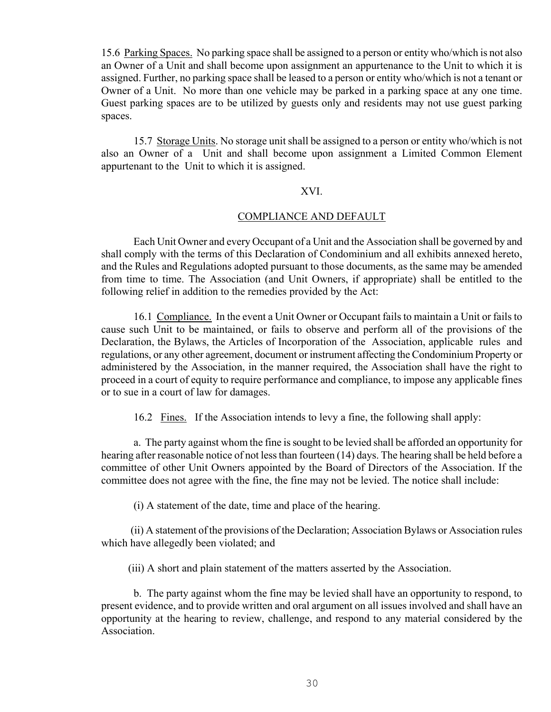15.6 Parking Spaces. No parking space shall be assigned to a person or entity who/which is not also an Owner of a Unit and shall become upon assignment an appurtenance to the Unit to which it is assigned. Further, no parking space shall be leased to a person or entity who/which is not a tenant or Owner of a Unit. No more than one vehicle may be parked in a parking space at any one time. Guest parking spaces are to be utilized by guests only and residents may not use guest parking spaces.

 15.7 Storage Units. No storage unit shall be assigned to a person or entity who/which is not also an Owner of a Unit and shall become upon assignment a Limited Common Element appurtenant to the Unit to which it is assigned.

#### XVI.

#### COMPLIANCE AND DEFAULT

 Each Unit Owner and every Occupant of a Unit and the Association shall be governed by and shall comply with the terms of this Declaration of Condominium and all exhibits annexed hereto, and the Rules and Regulations adopted pursuant to those documents, as the same may be amended from time to time. The Association (and Unit Owners, if appropriate) shall be entitled to the following relief in addition to the remedies provided by the Act:

 16.1 Compliance. In the event a Unit Owner or Occupant fails to maintain a Unit or fails to cause such Unit to be maintained, or fails to observe and perform all of the provisions of the Declaration, the Bylaws, the Articles of Incorporation of the Association, applicable rules and regulations, or any other agreement, document or instrument affecting the Condominium Property or administered by the Association, in the manner required, the Association shall have the right to proceed in a court of equity to require performance and compliance, to impose any applicable fines or to sue in a court of law for damages.

16.2 Fines. If the Association intends to levy a fine, the following shall apply:

 a. The party against whom the fine is sought to be levied shall be afforded an opportunity for hearing after reasonable notice of not less than fourteen (14) days. The hearing shall be held before a committee of other Unit Owners appointed by the Board of Directors of the Association. If the committee does not agree with the fine, the fine may not be levied. The notice shall include:

(i) A statement of the date, time and place of the hearing.

 (ii) A statement of the provisions of the Declaration; Association Bylaws or Association rules which have allegedly been violated; and

(iii) A short and plain statement of the matters asserted by the Association.

 b. The party against whom the fine may be levied shall have an opportunity to respond, to present evidence, and to provide written and oral argument on all issues involved and shall have an opportunity at the hearing to review, challenge, and respond to any material considered by the **Association**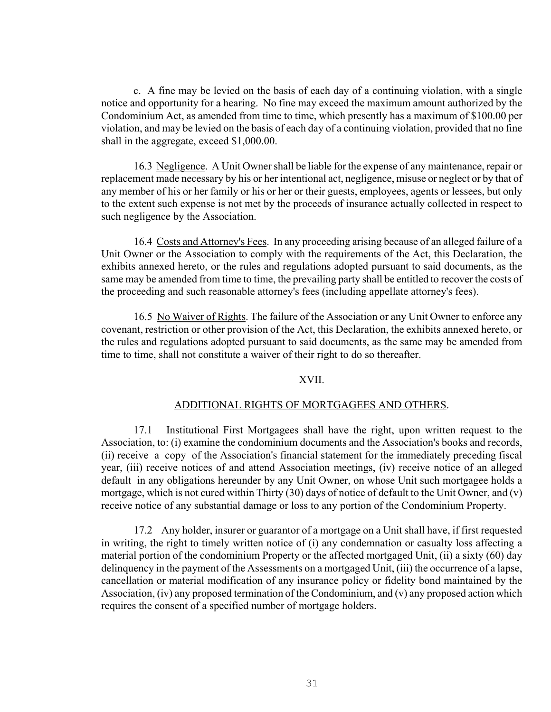c. A fine may be levied on the basis of each day of a continuing violation, with a single notice and opportunity for a hearing. No fine may exceed the maximum amount authorized by the Condominium Act, as amended from time to time, which presently has a maximum of \$100.00 per violation, and may be levied on the basis of each day of a continuing violation, provided that no fine shall in the aggregate, exceed \$1,000.00.

 16.3 Negligence. A Unit Owner shall be liable for the expense of any maintenance, repair or replacement made necessary by his or her intentional act, negligence, misuse or neglect or by that of any member of his or her family or his or her or their guests, employees, agents or lessees, but only to the extent such expense is not met by the proceeds of insurance actually collected in respect to such negligence by the Association.

 16.4 Costs and Attorney's Fees. In any proceeding arising because of an alleged failure of a Unit Owner or the Association to comply with the requirements of the Act, this Declaration, the exhibits annexed hereto, or the rules and regulations adopted pursuant to said documents, as the same may be amended from time to time, the prevailing party shall be entitled to recover the costs of the proceeding and such reasonable attorney's fees (including appellate attorney's fees).

 16.5 No Waiver of Rights. The failure of the Association or any Unit Owner to enforce any covenant, restriction or other provision of the Act, this Declaration, the exhibits annexed hereto, or the rules and regulations adopted pursuant to said documents, as the same may be amended from time to time, shall not constitute a waiver of their right to do so thereafter.

#### XVII.

#### ADDITIONAL RIGHTS OF MORTGAGEES AND OTHERS.

 17.1 Institutional First Mortgagees shall have the right, upon written request to the Association, to: (i) examine the condominium documents and the Association's books and records, (ii) receive a copy of the Association's financial statement for the immediately preceding fiscal year, (iii) receive notices of and attend Association meetings, (iv) receive notice of an alleged default in any obligations hereunder by any Unit Owner, on whose Unit such mortgagee holds a mortgage, which is not cured within Thirty (30) days of notice of default to the Unit Owner, and (v) receive notice of any substantial damage or loss to any portion of the Condominium Property.

 17.2 Any holder, insurer or guarantor of a mortgage on a Unit shall have, if first requested in writing, the right to timely written notice of (i) any condemnation or casualty loss affecting a material portion of the condominium Property or the affected mortgaged Unit, (ii) a sixty (60) day delinquency in the payment of the Assessments on a mortgaged Unit, (iii) the occurrence of a lapse, cancellation or material modification of any insurance policy or fidelity bond maintained by the Association, (iv) any proposed termination of the Condominium, and (v) any proposed action which requires the consent of a specified number of mortgage holders.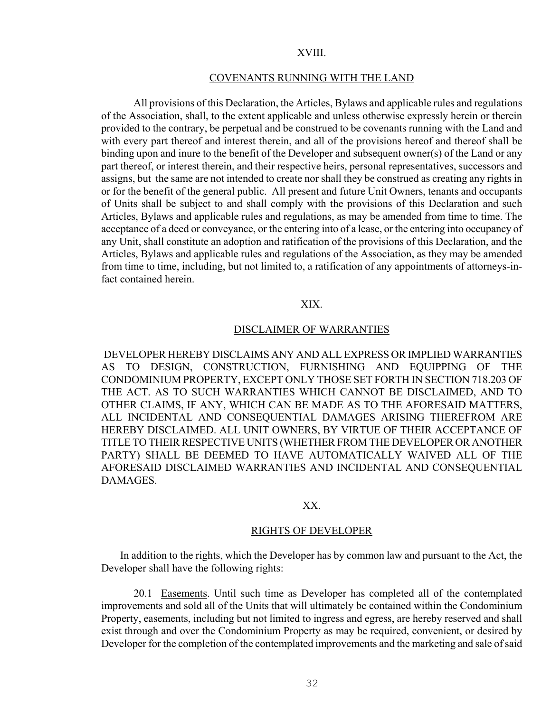#### XVIII.

#### COVENANTS RUNNING WITH THE LAND

 All provisions of this Declaration, the Articles, Bylaws and applicable rules and regulations of the Association, shall, to the extent applicable and unless otherwise expressly herein or therein provided to the contrary, be perpetual and be construed to be covenants running with the Land and with every part thereof and interest therein, and all of the provisions hereof and thereof shall be binding upon and inure to the benefit of the Developer and subsequent owner(s) of the Land or any part thereof, or interest therein, and their respective heirs, personal representatives, successors and assigns, but the same are not intended to create nor shall they be construed as creating any rights in or for the benefit of the general public. All present and future Unit Owners, tenants and occupants of Units shall be subject to and shall comply with the provisions of this Declaration and such Articles, Bylaws and applicable rules and regulations, as may be amended from time to time. The acceptance of a deed or conveyance, or the entering into of a lease, or the entering into occupancy of any Unit, shall constitute an adoption and ratification of the provisions of this Declaration, and the Articles, Bylaws and applicable rules and regulations of the Association, as they may be amended from time to time, including, but not limited to, a ratification of any appointments of attorneys-infact contained herein.

## XIX.

## DISCLAIMER OF WARRANTIES

 DEVELOPER HEREBY DISCLAIMS ANY AND ALL EXPRESS OR IMPLIED WARRANTIES AS TO DESIGN, CONSTRUCTION, FURNISHING AND EQUIPPING OF THE CONDOMINIUM PROPERTY, EXCEPT ONLY THOSE SET FORTH IN SECTION 718.203 OF THE ACT. AS TO SUCH WARRANTIES WHICH CANNOT BE DISCLAIMED, AND TO OTHER CLAIMS, IF ANY, WHICH CAN BE MADE AS TO THE AFORESAID MATTERS, ALL INCIDENTAL AND CONSEQUENTIAL DAMAGES ARISING THEREFROM ARE HEREBY DISCLAIMED. ALL UNIT OWNERS, BY VIRTUE OF THEIR ACCEPTANCE OF TITLE TO THEIR RESPECTIVE UNITS (WHETHER FROM THE DEVELOPER OR ANOTHER PARTY) SHALL BE DEEMED TO HAVE AUTOMATICALLY WAIVED ALL OF THE AFORESAID DISCLAIMED WARRANTIES AND INCIDENTAL AND CONSEQUENTIAL **DAMAGES** 

#### XX.

## RIGHTS OF DEVELOPER

 In addition to the rights, which the Developer has by common law and pursuant to the Act, the Developer shall have the following rights:

 20.1 Easements. Until such time as Developer has completed all of the contemplated improvements and sold all of the Units that will ultimately be contained within the Condominium Property, easements, including but not limited to ingress and egress, are hereby reserved and shall exist through and over the Condominium Property as may be required, convenient, or desired by Developer for the completion of the contemplated improvements and the marketing and sale of said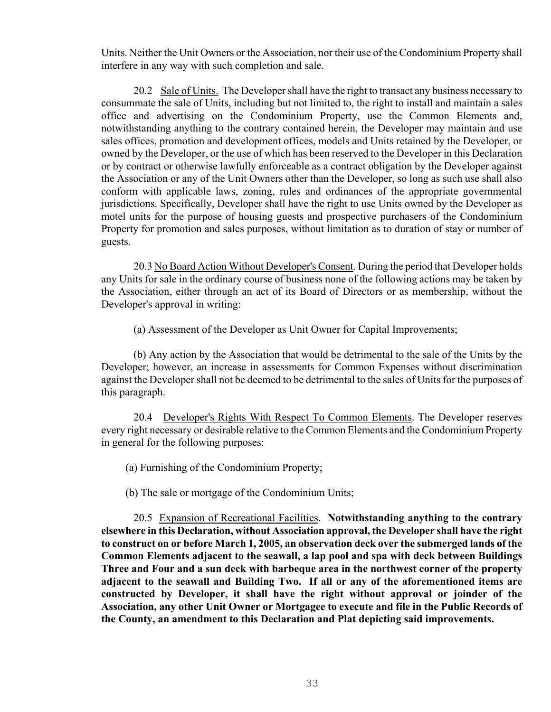Units. Neither the Unit Owners or the Association, nor their use of the Condominium Property shall interfere in any way with such completion and sale.

 20.2 Sale of Units. The Developer shall have the right to transact any business necessary to consummate the sale of Units, including but not limited to, the right to install and maintain a sales office and advertising on the Condominium Property, use the Common Elements and, notwithstanding anything to the contrary contained herein, the Developer may maintain and use sales offices, promotion and development offices, models and Units retained by the Developer, or owned by the Developer, or the use of which has been reserved to the Developer in this Declaration or by contract or otherwise lawfully enforceable as a contract obligation by the Developer against the Association or any of the Unit Owners other than the Developer, so long as such use shall also conform with applicable laws, zoning, rules and ordinances of the appropriate governmental jurisdictions. Specifically, Developer shall have the right to use Units owned by the Developer as motel units for the purpose of housing guests and prospective purchasers of the Condominium Property for promotion and sales purposes, without limitation as to duration of stay or number of guests.

20.3 No Board Action Without Developer's Consent. During the period that Developer holds any Units for sale in the ordinary course of business none of the following actions may be taken by the Association, either through an act of its Board of Directors or as membership, without the Developer's approval in writing:

(a) Assessment of the Developer as Unit Owner for Capital Improvements;

 (b) Any action by the Association that would be detrimental to the sale of the Units by the Developer; however, an increase in assessments for Common Expenses without discrimination against the Developer shall not be deemed to be detrimental to the sales of Units for the purposes of this paragraph.

 20.4 Developer's Rights With Respect To Common Elements. The Developer reserves every right necessary or desirable relative to the Common Elements and the Condominium Property in general for the following purposes:

(a) Furnishing of the Condominium Property;

(b) The sale or mortgage of the Condominium Units;

 20.5 Expansion of Recreational Facilities. **Notwithstanding anything to the contrary elsewhere in this Declaration, without Association approval, the Developer shall have the right to construct on or before March 1, 2005, an observation deck over the submerged lands of the Common Elements adjacent to the seawall, a lap pool and spa with deck between Buildings Three and Four and a sun deck with barbeque area in the northwest corner of the property adjacent to the seawall and Building Two. If all or any of the aforementioned items are constructed by Developer, it shall have the right without approval or joinder of the Association, any other Unit Owner or Mortgagee to execute and file in the Public Records of the County, an amendment to this Declaration and Plat depicting said improvements.**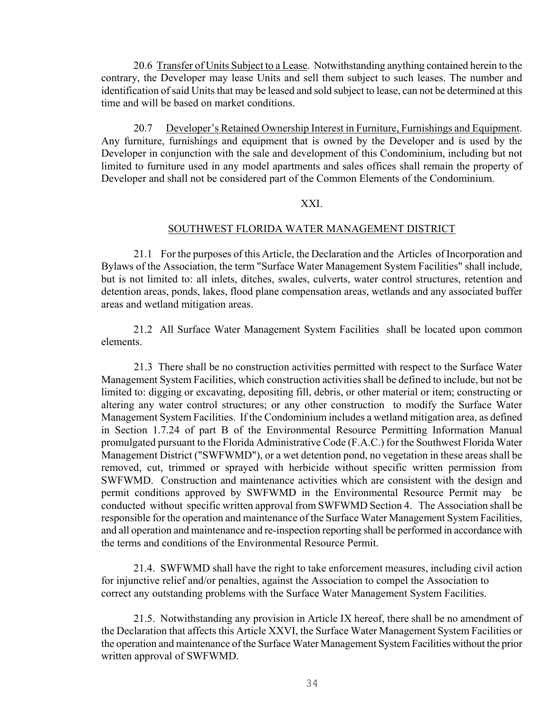20.6 Transfer of Units Subject to a Lease. Notwithstanding anything contained herein to the contrary, the Developer may lease Units and sell them subject to such leases. The number and identification of said Units that may be leased and sold subject to lease, can not be determined at this time and will be based on market conditions.

20.7 Developer's Retained Ownership Interest in Furniture, Furnishings and Equipment. Any furniture, furnishings and equipment that is owned by the Developer and is used by the Developer in conjunction with the sale and development of this Condominium, including but not limited to furniture used in any model apartments and sales offices shall remain the property of Developer and shall not be considered part of the Common Elements of the Condominium.

# XXI.

#### SOUTHWEST FLORIDA WATER MANAGEMENT DISTRICT

 21.1 For the purposes of this Article, the Declaration and the Articles of Incorporation and Bylaws of the Association, the term "Surface Water Management System Facilities" shall include, but is not limited to: all inlets, ditches, swales, culverts, water control structures, retention and detention areas, ponds, lakes, flood plane compensation areas, wetlands and any associated buffer areas and wetland mitigation areas.

 21.2 All Surface Water Management System Facilities shall be located upon common elements.

 21.3 There shall be no construction activities permitted with respect to the Surface Water Management System Facilities, which construction activities shall be defined to include, but not be limited to: digging or excavating, depositing fill, debris, or other material or item; constructing or altering any water control structures; or any other construction to modify the Surface Water Management System Facilities. If the Condominium includes a wetland mitigation area, as defined in Section 1.7.24 of part B of the Environmental Resource Permitting Information Manual promulgated pursuant to the Florida Administrative Code (F.A.C.) for the Southwest Florida Water Management District ("SWFWMD"), or a wet detention pond, no vegetation in these areas shall be removed, cut, trimmed or sprayed with herbicide without specific written permission from SWFWMD. Construction and maintenance activities which are consistent with the design and permit conditions approved by SWFWMD in the Environmental Resource Permit may be conducted without specific written approval from SWFWMD Section 4. The Association shall be responsible for the operation and maintenance of the Surface Water Management System Facilities, and all operation and maintenance and re-inspection reporting shall be performed in accordance with the terms and conditions of the Environmental Resource Permit.

 21.4. SWFWMD shall have the right to take enforcement measures, including civil action for injunctive relief and/or penalties, against the Association to compel the Association to correct any outstanding problems with the Surface Water Management System Facilities.

 21.5. Notwithstanding any provision in Article IX hereof, there shall be no amendment of the Declaration that affects this Article XXVI, the Surface Water Management System Facilities or the operation and maintenance of the Surface Water Management System Facilities without the prior written approval of SWFWMD.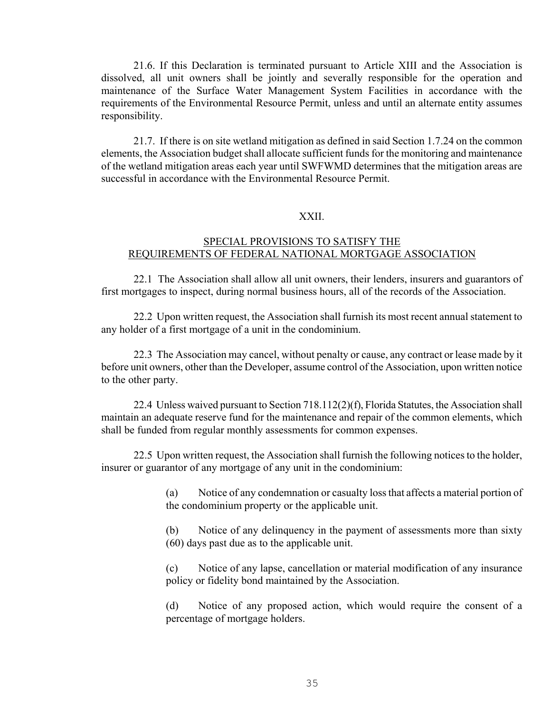21.6. If this Declaration is terminated pursuant to Article XIII and the Association is dissolved, all unit owners shall be jointly and severally responsible for the operation and maintenance of the Surface Water Management System Facilities in accordance with the requirements of the Environmental Resource Permit, unless and until an alternate entity assumes responsibility.

 21.7. If there is on site wetland mitigation as defined in said Section 1.7.24 on the common elements, the Association budget shall allocate sufficient funds for the monitoring and maintenance of the wetland mitigation areas each year until SWFWMD determines that the mitigation areas are successful in accordance with the Environmental Resource Permit.

## XXII.

# SPECIAL PROVISIONS TO SATISFY THE REQUIREMENTS OF FEDERAL NATIONAL MORTGAGE ASSOCIATION

22.1 The Association shall allow all unit owners, their lenders, insurers and guarantors of first mortgages to inspect, during normal business hours, all of the records of the Association.

22.2 Upon written request, the Association shall furnish its most recent annual statement to any holder of a first mortgage of a unit in the condominium.

22.3 The Association may cancel, without penalty or cause, any contract or lease made by it before unit owners, other than the Developer, assume control of the Association, upon written notice to the other party.

22.4 Unless waived pursuant to Section 718.112(2)(f), Florida Statutes, the Association shall maintain an adequate reserve fund for the maintenance and repair of the common elements, which shall be funded from regular monthly assessments for common expenses.

22.5 Upon written request, the Association shall furnish the following notices to the holder, insurer or guarantor of any mortgage of any unit in the condominium:

> (a) Notice of any condemnation or casualty loss that affects a material portion of the condominium property or the applicable unit.

> (b) Notice of any delinquency in the payment of assessments more than sixty (60) days past due as to the applicable unit.

> (c) Notice of any lapse, cancellation or material modification of any insurance policy or fidelity bond maintained by the Association.

> (d) Notice of any proposed action, which would require the consent of a percentage of mortgage holders.